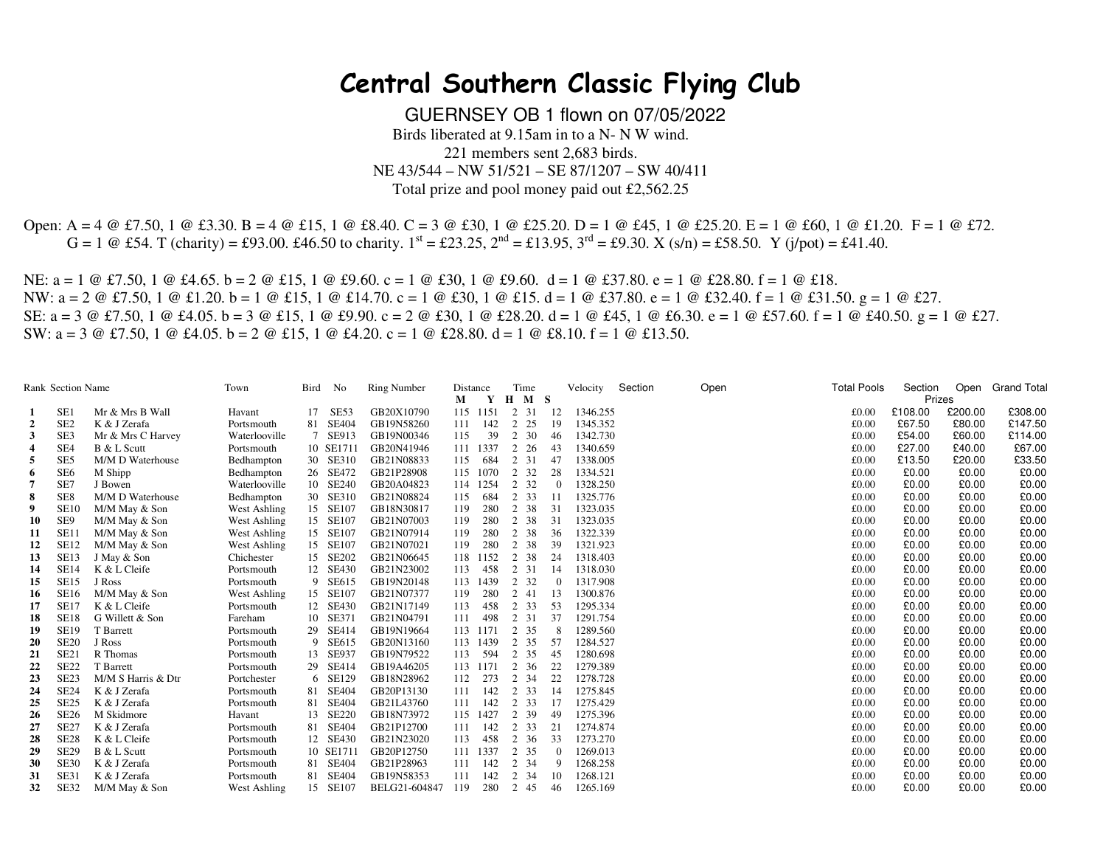## **Central Southern Classic Flying Club**

GUERNSEY OB 1 flown on 07/05/2022 Birds liberated at 9.15am in to a N- N W wind. 221 members sent 2,683 birds. NE 43/544 – NW 51/521 – SE 87/1207 – SW 40/411 Total prize and pool money paid out £2,562.25

Open: A = 4 @ £7.50, 1 @ £3.30. B = 4 @ £15, 1 @ £8.40. C = 3 @ £30, 1 @ £25.20. D = 1 @ £45, 1 @ £25.20. E = 1 @ £60, 1 @ £1.20. F = 1 @ £72.  $G = 1 \text{ } @$  £54. T (charity) = £93.00. £46.50 to charity.  $1^{st} = \text{\textsterling}23.25$ ,  $2^{nd} = \text{\textsterling}13.95$ ,  $3^{rd} = \text{\textsterling}9.30$ . X (s/n) = £58.50. Y (j/pot) = £41.40.

NE:  $a = 1 \oplus \text{\textsterling}7.50$ ,  $1 \oplus \text{\textsterling}4.65$ .  $b = 2 \oplus \text{\textsterling}15$ ,  $1 \oplus \text{\textsterling}9.60$ .  $c = 1 \oplus \text{\textsterling}9.60$ .  $d = 1 \oplus \text{\textsterling}37.80$ .  $e = 1 \oplus \text{\textsterling}28.80$ .  $f = 1 \oplus \text{\textsterling}18$ . NW: a = 2 @ £7.50, 1 @ £1.20. b = 1 @ £15, 1 @ £14.70. c = 1 @ £30, 1 @ £15. d = 1 @ £37.80. e = 1 @ £32.40. f = 1 @ £31.50. g = 1 @ £27. SE: a = 3 @ £7.50, 1 @ £4.05. b = 3 @ £15, 1 @ £9.90. c = 2 @ £30, 1 @ £28.20. d = 1 @ £45, 1 @ £6.30. e = 1 @ £57.60. f = 1 @ £40.50. g = 1 @ £27. SW:  $a = 3 \text{ } \textcircled{t}$  f.7.50, 1  $\textcircled{t}$  f.4.05. b = 2  $\textcircled{t}$  f.15, 1  $\textcircled{t}$  f.4.20. c = 1  $\textcircled{t}$  f.28.80. d = 1  $\textcircled{t}$  f.8.10. f = 1  $\textcircled{t}$  f.13.50.

|                | <b>Rank Section Name</b> |                    | Town          | Bird | No        | <b>Ring Number</b> | Distance |              | Time      |                | Velocity | Section | Open | <b>Total Pools</b> | Section |         | Open Grand Total |
|----------------|--------------------------|--------------------|---------------|------|-----------|--------------------|----------|--------------|-----------|----------------|----------|---------|------|--------------------|---------|---------|------------------|
|                |                          |                    |               |      |           |                    | М        | $\mathbf{Y}$ | $H \tM S$ |                |          |         |      |                    | Prizes  |         |                  |
|                | SE <sub>1</sub>          | Mr & Mrs B Wall    | Havant        |      | 17 SE53   | GB20X10790         |          | 115 1151     | 2 31      | 12             | 1346.255 |         |      | £0.00              | £108.00 | £200.00 | £308.00          |
| $\overline{2}$ | SE <sub>2</sub>          | K & J Zerafa       | Portsmouth    |      | 81 SE404  | GB19N58260         | 111      | 142          | 2 2 5     | 19             | 1345.352 |         |      | £0.00              | £67.50  | £80.00  | £147.50          |
| 3              | SE <sub>3</sub>          | Mr & Mrs C Harvey  | Waterlooville |      | 7 SE913   | GB19N00346         | 115      | 39           | 2 30      | 46             | 1342.730 |         |      | £0.00              | £54.00  | £60.00  | £114.00          |
| 4              | SE4                      | B & L Scutt        | Portsmouth    |      | 10 SE1711 | GB20N41946         | 111      | 1337         | 2 26      | 43             | 1340.659 |         |      | £0.00              | £27.00  | £40.00  | £67.00           |
| 5              | SE <sub>5</sub>          | M/M D Waterhouse   | Bedhampton    |      | 30 SE310  | GB21N08833         | 115      | 684          | 2 31      | 47             | 1338.005 |         |      | £0.00              | £13.50  | £20.00  | £33.50           |
| 6              | SE <sub>6</sub>          | M Shipp            | Bedhampton    |      | 26 SE472  | GB21P28908         |          | 115 1070     | 2 3 2     | 28             | 1334.521 |         |      | £0.00              | £0.00   | £0.00   | £0.00            |
|                | SE7                      | J Bowen            | Waterlooville |      | 10 SE240  | GB20A04823         | 114      | 1254         | 2 3 2     | $\Omega$       | 1328.250 |         |      | £0.00              | £0.00   | £0.00   | £0.00            |
| 8              | SE8                      | M/M D Waterhouse   | Bedhampton    |      | 30 SE310  | GB21N08824         | 115      | 684          | 2 3 3     | -11            | 1325.776 |         |      | £0.00              | £0.00   | £0.00   | £0.00            |
| 9              | <b>SE10</b>              | M/M May & Son      | West Ashling  |      | 15 SE107  | GB18N30817         | 119      | 280          | 2 38      | 31             | 1323.035 |         |      | £0.00              | £0.00   | £0.00   | £0.00            |
| 10             | SE9                      | M/M May & Son      | West Ashling  |      | 15 SE107  | GB21N07003         | 119      | 280          | 2 38      | 31             | 1323.035 |         |      | £0.00              | £0.00   | £0.00   | £0.00            |
| 11             | <b>SE11</b>              | M/M May & Son      | West Ashling  |      | 15 SE107  | GB21N07914         | 119      | 280          | 2 38      | 36             | 1322.339 |         |      | £0.00              | £0.00   | £0.00   | £0.00            |
| 12             | <b>SE12</b>              | M/M May & Son      | West Ashling  |      | 15 SE107  | GB21N07021         | 119      | 280          | 2 38      | 39             | 1321.923 |         |      | £0.00              | £0.00   | £0.00   | £0.00            |
| 13             | <b>SE13</b>              | J May & Son        | Chichester    |      | 15 SE202  | GB21N06645         | 118      | 1152         | 2 38      | 24             | 1318.403 |         |      | £0.00              | £0.00   | £0.00   | £0.00            |
| 14             | <b>SE14</b>              | K & L Cleife       | Portsmouth    |      | 12 SE430  | GB21N23002         | 113      | 458          | 2 31      | -14            | 1318.030 |         |      | £0.00              | £0.00   | £0.00   | £0.00            |
| 15             | <b>SE15</b>              | J Ross             | Portsmouth    |      | 9 SE615   | GB19N20148         |          | 113 1439     | 2 32      | $\overline{0}$ | 1317.908 |         |      | £0.00              | £0.00   | £0.00   | £0.00            |
| 16             | <b>SE16</b>              | M/M May & Son      | West Ashling  |      | 15 SE107  | GB21N07377         | 119      | 280          | 2 41      | 13             | 1300.876 |         |      | £0.00              | £0.00   | £0.00   | £0.00            |
| 17             | <b>SE17</b>              | K & L Cleife       | Portsmouth    |      | 12 SE430  | GB21N17149         | 113      | 458          | 2 3 3     | 53             | 1295.334 |         |      | £0.00              | £0.00   | £0.00   | £0.00            |
| 18             | <b>SE18</b>              | G Willett & Son    | Fareham       |      | 10 SE371  | GB21N04791         | 111      | 498          | 2 31      | 37             | 1291.754 |         |      | £0.00              | £0.00   | £0.00   | £0.00            |
| 19             | <b>SE19</b>              | T Barrett          | Portsmouth    |      | 29 SE414  | GB19N19664         | 113      | 1171         | 2 35      | - 8            | 1289.560 |         |      | £0.00              | £0.00   | £0.00   | £0.00            |
| 20             | <b>SE20</b>              | J Ross             | Portsmouth    |      | 9 SE615   | GB20N13160         |          | 113 1439     | 2 35      | 57             | 1284.527 |         |      | £0.00              | £0.00   | £0.00   | £0.00            |
| 21             | SE <sub>21</sub>         | R Thomas           | Portsmouth    |      | 13 SE937  | GB19N79522         | 113      | 594          | 2 35      | 45             | 1280.698 |         |      | £0.00              | £0.00   | £0.00   | £0.00            |
| 22             | <b>SE22</b>              | T Barrett          | Portsmouth    |      | 29 SE414  | GB19A46205         |          | 113 1171     | 2 36      | 22             | 1279.389 |         |      | £0.00              | £0.00   | £0.00   | £0.00            |
| 23             | SE23                     | M/M S Harris & Dtr | Portchester   |      | 6 SE129   | GB18N28962         | 112      | 273          | 2 34      | 22             | 1278.728 |         |      | £0.00              | £0.00   | £0.00   | £0.00            |
| 24             | <b>SE24</b>              | K & J Zerafa       | Portsmouth    |      | 81 SE404  | GB20P13130         | 111      | 142          | 2 3 3     | -14            | 1275.845 |         |      | £0.00              | £0.00   | £0.00   | £0.00            |
| 25             | SE <sub>25</sub>         | K & J Zerafa       | Portsmouth    |      | 81 SE404  | GB21L43760         | 111      | 142          | 2 3 3     | 17             | 1275.429 |         |      | £0.00              | £0.00   | £0.00   | £0.00            |
| 26             | <b>SE26</b>              | M Skidmore         | Havant        |      | 13 SE220  | GB18N73972         |          | 115 1427     | 2 39      | 49             | 1275.396 |         |      | £0.00              | £0.00   | £0.00   | £0.00            |
| 27             | <b>SE27</b>              | K & J Zerafa       | Portsmouth    |      | 81 SE404  | GB21P12700         | 111      | 142          | 2 3 3     | 21             | 1274.874 |         |      | £0.00              | £0.00   | £0.00   | £0.00            |
| 28             | <b>SE28</b>              | K & L Cleife       | Portsmouth    |      | 12 SE430  | GB21N23020         | 113      | 458          | 2 36      | 33             | 1273.270 |         |      | £0.00              | £0.00   | £0.00   | £0.00            |
| 29             | <b>SE29</b>              | B & L Scutt        | Portsmouth    |      | 10 SE1711 | GB20P12750         | 111      | 1337         | 2 35      | $\overline{0}$ | 1269.013 |         |      | £0.00              | £0.00   | £0.00   | £0.00            |
| 30             | SE30                     | K & J Zerafa       | Portsmouth    |      | 81 SE404  | GB21P28963         | 111      | 142          | 2 34      | -9             | 1268.258 |         |      | £0.00              | £0.00   | £0.00   | £0.00            |
| 31             | SE31                     | K & J Zerafa       | Portsmouth    |      | 81 SE404  | GB19N58353         | 111      | 142          | 2 34      | 10             | 1268.121 |         |      | £0.00              | £0.00   | £0.00   | £0.00            |
| 32             | SE32                     | M/M May & Son      | West Ashling  |      | 15 SE107  | BELG21-604847      | 119      | 280          | 2 45      | 46             | 1265.169 |         |      | £0.00              | £0.00   | £0.00   | £0.00            |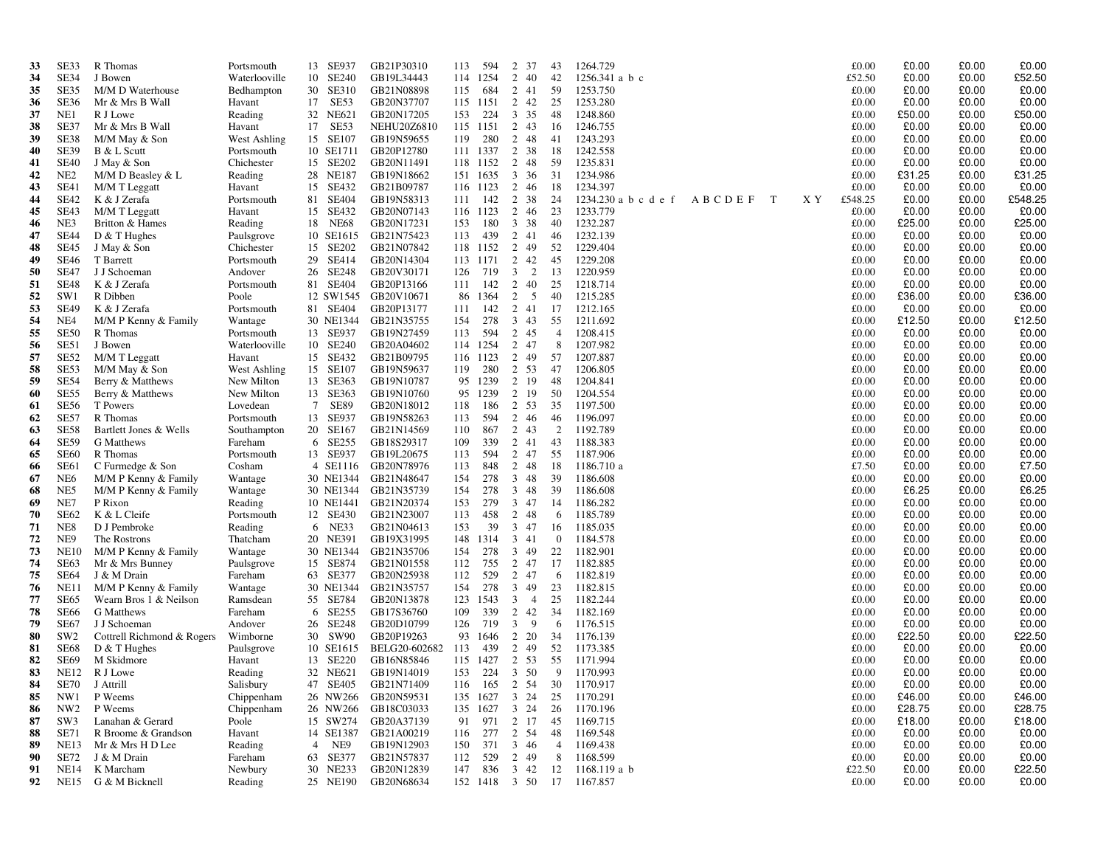| 33       | SE33                       | R Thomas                                 | Portsmouth               | 13 SE937                       | GB21P30310               | 113        | 594        | 2 37                           | 43             | 1264.729               |        |             |     | £0.00          | £0.00           | £0.00          | £0.00           |
|----------|----------------------------|------------------------------------------|--------------------------|--------------------------------|--------------------------|------------|------------|--------------------------------|----------------|------------------------|--------|-------------|-----|----------------|-----------------|----------------|-----------------|
| 34       | SE34                       | J Bowen                                  | Waterlooville            | 10 SE240                       | GB19L34443               |            | 114 1254   | 2<br>-40                       | 42             | $1256.341$ a b c       |        |             |     | £52.50         | £0.00           | £0.00          | £52.50          |
| 35       | SE35                       | M/M D Waterhouse                         | Bedhampton               | 30 SE310                       | GB21N08898               | 115        | 684        | 2 41                           | 59             | 1253.750               |        |             |     | £0.00          | £0.00           | £0.00          | £0.00           |
| 36       | <b>SE36</b>                | Mr & Mrs B Wall                          | Havant                   | 17 SE53                        | GB20N37707               |            | 115 1151   | 2 42                           | 25             | 1253.280               |        |             |     | £0.00          | £0.00           | £0.00          | £0.00           |
| 37       | NE1                        | R J Lowe                                 | Reading                  | 32 NE621                       | GB20N17205               | 153        | 224        | 3 35                           | 48             | 1248.860               |        |             |     | £0.00          | £50.00          | £0.00          | £50.00          |
| 38       | SE37                       | Mr & Mrs B Wall                          | Havant                   | SE53<br>17                     | <b>NEHU20Z6810</b>       |            | 115 1151   | 2 43                           | 16             | 1246.755               |        |             |     | £0.00          | £0.00           | £0.00          | £0.00           |
| 39       | SE38                       | M/M May & Son                            | West Ashling             | 15 SE107                       | GB19N59655               | 119        | 280        | 2 48                           | 41             | 1243.293               |        |             |     | £0.00          | £0.00           | £0.00          | £0.00           |
| 40       | <b>SE39</b>                | B & L Scutt                              | Portsmouth               | 10 SE1711                      | GB20P12780               |            | 111 1337   | 2<br>38                        | 18             | 1242.558               |        |             |     | £0.00          | £0.00           | £0.00          | £0.00           |
| 41       | <b>SE40</b>                | J May & Son                              | Chichester               | 15 SE202                       | GB20N11491               |            | 118 1152   | 2 48                           | 59             | 1235.831               |        |             |     | £0.00          | £0.00           | £0.00          | £0.00           |
| 42       | NE <sub>2</sub>            | M/M D Beasley & L                        | Reading                  | 28 NE187                       | GB19N18662               |            | 151 1635   | 3 36                           | 31             | 1234.986               |        |             |     | £0.00          | £31.25          | £0.00          | £31.25          |
| 43       | SE41                       | M/M T Leggatt                            | Havant                   | 15 SE432                       | GB21B09787               |            | 116 1123   | 2 46                           | 18             | 1234.397               |        |             |     | £0.00          | £0.00           | £0.00          | £0.00           |
| 44       | SE42                       | K & J Zerafa                             | Portsmouth               | 81 SE404                       | GB19N58313               | 111        | 142        | 2<br>38                        | 24             | 1234.230 a b c d e f   | ABCDEF | $\mathbf T$ | X Y | £548.25        | £0.00           | £0.00          | £548.25         |
| 45       | <b>SE43</b>                | M/M T Leggatt                            | Havant                   | 15 SE432                       | GB20N07143               |            | 116 1123   | 2 46                           | 23             | 1233.779               |        |             |     | £0.00          | £0.00           | £0.00          | £0.00           |
| 46<br>47 | NE3<br><b>SE44</b>         | Britton & Hames                          | Reading                  | <b>NE68</b><br>18              | GB20N17231               | 153        | 180<br>439 | 3 38<br>2 41                   | 40             | 1232.287<br>1232.139   |        |             |     | £0.00<br>£0.00 | £25.00<br>£0.00 | £0.00<br>£0.00 | £25.00<br>£0.00 |
| 48       | <b>SE45</b>                | $D & T$ Hughes<br>J May & Son            | Paulsgrove<br>Chichester | 10 SE1615<br>15 SE202          | GB21N75423<br>GB21N07842 | 113        | 118 1152   | 2 49                           | 46<br>52       | 1229.404               |        |             |     | £0.00          | £0.00           | £0.00          | £0.00           |
| 49       | <b>SE46</b>                | T Barrett                                | Portsmouth               | 29 SE414                       | GB20N14304               |            | 113 1171   | 2 42                           | 45             | 1229.208               |        |             |     | £0.00          | £0.00           | £0.00          | £0.00           |
| 50       | <b>SE47</b>                | J J Schoeman                             | Andover                  | 26 SE248                       | GB20V30171               | 126        | 719        | 2<br>3                         | 13             | 1220.959               |        |             |     | £0.00          | £0.00           | £0.00          | £0.00           |
| 51       | <b>SE48</b>                | K & J Zerafa                             | Portsmouth               | 81 SE404                       | GB20P13166               | 111        | 142        | 2 40                           | 25             | 1218.714               |        |             |     | £0.00          | £0.00           | £0.00          | £0.00           |
| 52       | SW1                        | R Dibben                                 | Poole                    | 12 SW1545                      | GB20V10671               | 86         | 1364       | 2<br>5                         | 40             | 1215.285               |        |             |     | £0.00          | £36.00          | £0.00          | £36.00          |
| 53       | <b>SE49</b>                | K & J Zerafa                             | Portsmouth               | 81 SE404                       | GB20P13177               | 111        | 142        | 2 41                           | 17             | 1212.165               |        |             |     | £0.00          | £0.00           | £0.00          | £0.00           |
| 54       | NE4                        | M/M P Kenny & Family                     | Wantage                  | 30 NE1344                      | GB21N35755               | 154        | 278        | $3 \quad 43$                   | 55             | 1211.692               |        |             |     | £0.00          | £12.50          | £0.00          | £12.50          |
| 55       | <b>SE50</b>                | R Thomas                                 | Portsmouth               | 13 SE937                       | GB19N27459               | 113        | 594        | 2 45                           | $\overline{4}$ | 1208.415               |        |             |     | £0.00          | £0.00           | £0.00          | £0.00           |
| 56       | SE51                       | J Bowen                                  | Waterlooville            | 10 SE240                       | GB20A04602               |            | 114 1254   | 2 47                           | 8              | 1207.982               |        |             |     | £0.00          | £0.00           | £0.00          | £0.00           |
| 57       | SE52                       | M/M T Leggatt                            | Havant                   | 15 SE432                       | GB21B09795               |            | 116 1123   | 2 49                           | 57             | 1207.887               |        |             |     | £0.00          | £0.00           | £0.00          | £0.00           |
| 58       | SE53                       | M/M May & Son                            | West Ashling             | 15 SE107                       | GB19N59637               | 119        | 280        | 2 53                           | 47             | 1206.805               |        |             |     | £0.00          | £0.00           | £0.00          | £0.00           |
| 59       | <b>SE54</b>                | Berry & Matthews                         | New Milton               | 13 SE363                       | GB19N10787               | 95         | 1239       | 2 19                           | 48             | 1204.841               |        |             |     | £0.00          | £0.00           | £0.00          | £0.00           |
| 60       | SE55                       | Berry & Matthews                         | New Milton               | 13 SE363                       | GB19N10760               | 95         | 1239       | 2 19                           | 50             | 1204.554               |        |             |     | £0.00          | £0.00           | £0.00          | £0.00           |
| 61       | <b>SE56</b>                | T Powers                                 | Lovedean                 | $7\phantom{.0}$<br><b>SE89</b> | GB20N18012               | 118        | 186        | 2 53                           | 35             | 1197.500               |        |             |     | £0.00          | £0.00           | £0.00          | £0.00           |
| 62       | SE57                       | R Thomas                                 | Portsmouth               | 13 SE937                       | GB19N58263               | 113        | 594        | 2 46                           | 46             | 1196.097               |        |             |     | £0.00          | £0.00           | £0.00          | £0.00           |
| 63       | <b>SE58</b>                | Bartlett Jones & Wells                   | Southampton              | 20 SE167                       | GB21N14569               | 110        | 867        | 2 43                           | 2              | 1192.789               |        |             |     | £0.00          | £0.00           | £0.00          | £0.00           |
| 64       | <b>SE59</b>                | G Matthews                               | Fareham                  | 6 SE255                        | GB18S29317               | 109        | 339        | 2 41                           | 43             | 1188.383               |        |             |     | £0.00          | £0.00           | £0.00          | £0.00           |
| 65       | <b>SE60</b><br><b>SE61</b> | R Thomas                                 | Portsmouth               | 13 SE937                       | GB19L20675               | 113<br>113 | 594<br>848 | 2 47                           | 55             | 1187.906               |        |             |     | £0.00          | £0.00           | £0.00<br>£0.00 | £0.00           |
| 66<br>67 | NE <sub>6</sub>            | C Furmedge & Son<br>M/M P Kenny & Family | Cosham<br>Wantage        | 4 SE1116<br>30 NE1344          | GB20N78976<br>GB21N48647 | 154        | 278        | 2 48<br>3 48                   | 18<br>39       | 1186.710 a<br>1186.608 |        |             |     | £7.50<br>£0.00 | £0.00<br>£0.00  | £0.00          | £7.50<br>£0.00  |
| 68       | NE5                        | M/M P Kenny & Family                     | Wantage                  | 30 NE1344                      | GB21N35739               | 154        | 278        | 3 48                           | 39             | 1186.608               |        |             |     | £0.00          | £6.25           | £0.00          | £6.25           |
| 69       | NE7                        | P Rixon                                  | Reading                  | 10 NE1441                      | GB21N20374               | 153        | 279        | 3 47                           | 14             | 1186.282               |        |             |     | £0.00          | £0.00           | £0.00          | £0.00           |
| 70       | SE62                       | K & L Cleife                             | Portsmouth               | 12 SE430                       | GB21N23007               | 113        | 458        | 2 48                           | -6             | 1185.789               |        |             |     | £0.00          | £0.00           | £0.00          | £0.00           |
| 71       | NE <sub>8</sub>            | D J Pembroke                             | Reading                  | 6 NE33                         | GB21N04613               | 153        | 39         | 3 47                           | 16             | 1185.035               |        |             |     | £0.00          | £0.00           | £0.00          | £0.00           |
| 72       | NE9                        | The Rostrons                             | Thatcham                 | 20 NE391                       | GB19X31995               | 148        | 1314       | 3 41                           | $\overline{0}$ | 1184.578               |        |             |     | £0.00          | £0.00           | £0.00          | £0.00           |
| 73       | <b>NE10</b>                | M/M P Kenny & Family                     | Wantage                  | 30 NE1344                      | GB21N35706               | 154        | 278        | 3 49                           | 22             | 1182.901               |        |             |     | £0.00          | £0.00           | £0.00          | £0.00           |
| 74       | SE63                       | Mr & Mrs Bunney                          | Paulsgrove               | 15 SE874                       | GB21N01558               | 112        | 755        | 2 47                           | 17             | 1182.885               |        |             |     | £0.00          | £0.00           | £0.00          | £0.00           |
| 75       | <b>SE64</b>                | J & M Drain                              | Fareham                  | 63 SE377                       | GB20N25938               | 112        | 529        | 2 47                           | -6             | 1182.819               |        |             |     | £0.00          | £0.00           | £0.00          | £0.00           |
| 76       | <b>NE11</b>                | M/M P Kenny & Family                     | Wantage                  | 30 NE1344                      | GB21N35757               | 154        | 278        | 3 49                           | 23             | 1182.815               |        |             |     | £0.00          | £0.00           | £0.00          | £0.00           |
| 77       | <b>SE65</b>                | Wearn Bros 1 & Neilson                   | Ramsdean                 | 55 SE784                       | GB20N13878               | 123        | 1543       | $\mathbf{3}$<br>$\overline{4}$ | 25             | 1182.244               |        |             |     | £0.00          | £0.00           | £0.00          | £0.00           |
| 78       | <b>SE66</b>                | G Matthews                               | Fareham                  | 6 SE255                        | GB17S36760               | 109        | 339        | 2 42                           | 34             | 1182.169               |        |             |     | £0.00          | £0.00           | £0.00          | £0.00           |
| 79       | <b>SE67</b>                | J J Schoeman                             | Andover                  | SE248<br>26                    | GB20D10799               | 126        | 719        | $\mathbf{3}$<br>9              | 6              | 1176.515               |        |             |     | £0.00          | £0.00           | £0.00          | £0.00           |
| 80       | SW <sub>2</sub>            | Cottrell Richmond & Rogers               | Wimborne                 | 30 SW90                        | GB20P19263               | 93         | 1646       | 2 20                           | 34             | 1176.139               |        |             |     | £0.00          | £22.50          | £0.00          | £22.50          |
| 81       | <b>SE68</b>                | $D & T$ Hughes                           | Paulsgrove               | 10 SE1615                      | BELG20-602682            | 113        | 439        | $\overline{2}$<br>49           | 52             | 1173.385               |        |             |     | £0.00          | £0.00           | £0.00          | £0.00           |
| 82       | <b>SE69</b><br><b>NE12</b> | M Skidmore                               | Havant                   | 13 SE220                       | GB16N85846               |            | 115 1427   | 2 53                           | 55             | 1171.994               |        |             |     | £0.00          | £0.00           | £0.00          | £0.00           |
| 83<br>84 | <b>SE70</b>                | R J Lowe<br>J Attrill                    | Reading<br>Salisbury     | 32 NE621<br>47 SE405           | GB19N14019<br>GB21N71409 | 153<br>116 | 224<br>165 | 3 50<br>2 54                   | 9<br>30        | 1170.993<br>1170.917   |        |             |     | £0.00<br>£0.00 | £0.00<br>£0.00  | £0.00<br>£0.00 | £0.00<br>£0.00  |
| 85       | NW1                        | P Weems                                  | Chippenham               | 26 NW266                       | GB20N59531               |            | 135 1627   | 3 24                           | 25             | 1170.291               |        |             |     | £0.00          | £46.00          | £0.00          | £46.00          |
| 86       | NW <sub>2</sub>            | P Weems                                  | Chippenham               | 26 NW266                       | GB18C03033               |            | 135 1627   | 3 24                           | 26             | 1170.196               |        |             |     | £0.00          | £28.75          | £0.00          | £28.75          |
| 87       | SW <sub>3</sub>            | Lanahan & Gerard                         | Poole                    | 15 SW274                       | GB20A37139               | 91         | 971        | 2 17                           | 45             | 1169.715               |        |             |     | £0.00          | £18.00          | £0.00          | £18.00          |
| 88       | <b>SE71</b>                | R Broome & Grandson                      | Havant                   | 14 SE1387                      | GB21A00219               | 116        | 277        | 2 54                           | 48             | 1169.548               |        |             |     | £0.00          | £0.00           | £0.00          | £0.00           |
| 89       | <b>NE13</b>                | Mr & Mrs H D Lee                         | Reading                  | $\overline{4}$<br>NE9          | GB19N12903               | 150        | 371        | 346                            | $\overline{4}$ | 1169.438               |        |             |     | £0.00          | £0.00           | £0.00          | £0.00           |
| 90       | <b>SE72</b>                | J & M Drain                              | Fareham                  | 63 SE377                       | GB21N57837               | 112        | 529        | $\overline{2}$<br>-49          | 8              | 1168.599               |        |             |     | £0.00          | £0.00           | £0.00          | £0.00           |
| 91       | <b>NE14</b>                | K Marcham                                | Newbury                  | 30 NE233                       | GB20N12839               | 147        | 836        | 3 42                           | 12             | 1168.119 a b           |        |             |     | £22.50         | £0.00           | £0.00          | £22.50          |
| 92       | <b>NE15</b>                | G & M Bicknell                           | Reading                  | 25 NE190                       | GB20N68634               |            | 152 1418   | 3 50                           | 17             | 1167.857               |        |             |     | £0.00          | £0.00           | £0.00          | £0.00           |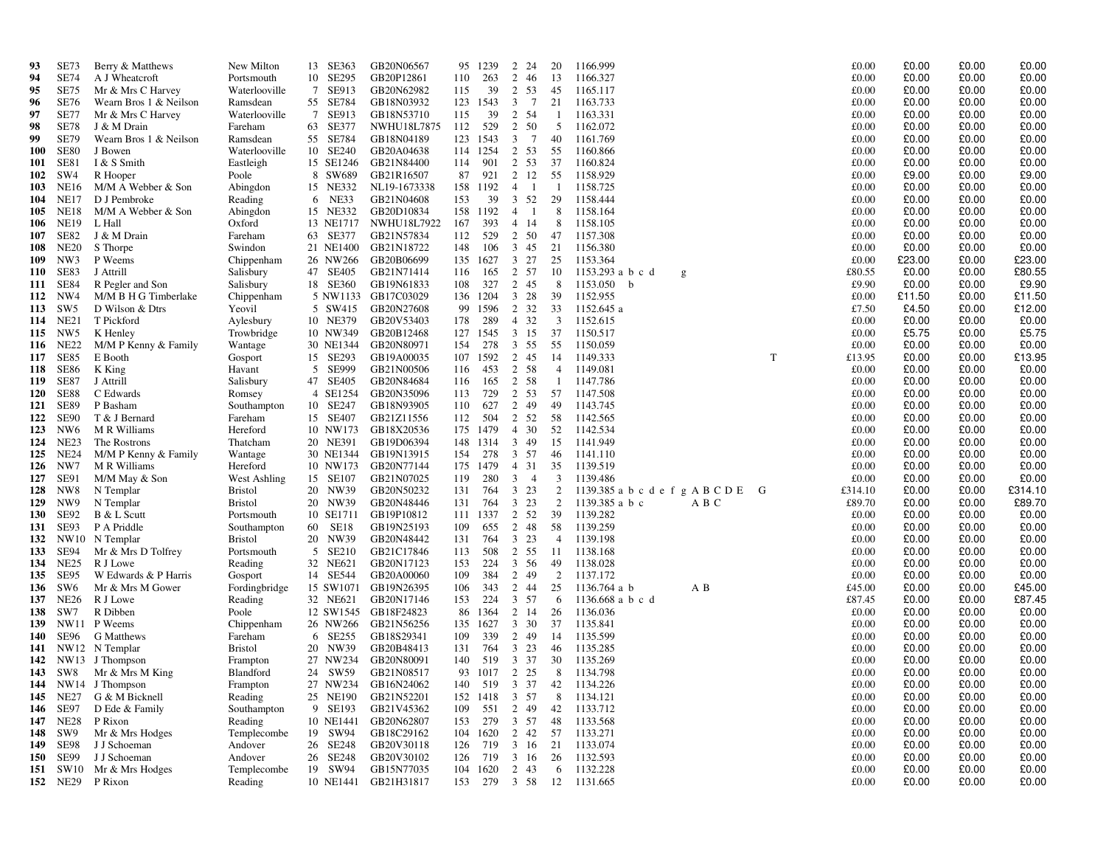| 93                | <b>SE73</b>      | Berry & Matthews                               | New Milton                                           | 13 SE363             | GB20N06567                         | 95         | 1239            | 2<br>24               | 20             | 1166.999                            |                 | £0.00<br>£0.00                   | £0.00          | £0.00           |
|-------------------|------------------|------------------------------------------------|------------------------------------------------------|----------------------|------------------------------------|------------|-----------------|-----------------------|----------------|-------------------------------------|-----------------|----------------------------------|----------------|-----------------|
| 94                | <b>SE74</b>      | A J Wheatcroft                                 | Portsmouth                                           | 10 SE295             | GB20P12861                         | 110        | 263             | 2<br>46               | 13             | 1166.327                            |                 | £0.00<br>£0.00                   | £0.00          | £0.00           |
| 95                | SE75             | Mr & Mrs C Harvey                              | Waterlooville                                        | 7 SE913              | GB20N62982                         | 115        | 39              | 2<br>53               | 45             | 1165.117                            |                 | £0.00<br>£0.00                   | £0.00          | £0.00           |
| 96                | <b>SE76</b>      | Wearn Bros 1 & Neilson                         | Ramsdean                                             | 55 SE784             | GB18N03932                         |            | 123 1543        | 3<br>$\overline{7}$   | 21             | 1163.733                            | £0.00           | £0.00                            | £0.00          | £0.00           |
| 97                | <b>SE77</b>      | Mr & Mrs C Harvey                              | Waterlooville                                        | 7 SE913              | GB18N53710                         | 115        | 39              | 2<br>-54              | -1             | 1163.331                            |                 | £0.00<br>£0.00                   | £0.00          | £0.00           |
| 98                | <b>SE78</b>      | J & M Drain                                    | Fareham                                              | 63 SE377             | NWHU18L7875                        | 112        | 529             | 2 50                  | -5             | 1162.072                            |                 | £0.00<br>£0.00                   | £0.00          | £0.00           |
| 99                | <b>SE79</b>      | Wearn Bros 1 & Neilson                         | Ramsdean                                             | 55 SE784             | GB18N04189                         | 123        | 1543            | 7<br>3                | 40             | 1161.769                            |                 | £0.00<br>£0.00                   | £0.00          | £0.00           |
| <b>100</b>        | <b>SE80</b>      | J Bowen                                        | Waterlooville                                        | 10 SE240             | GB20A04638                         |            | 114 1254        | 2 53                  | 55             | 1160.866                            |                 | £0.00<br>£0.00                   | £0.00          | £0.00           |
| 101<br>102        | SE81<br>SW4      | I & S Smith<br>R Hooper                        | Eastleigh<br>Poole                                   | 15 SE1246<br>8 SW689 | GB21N84400<br>GB21R16507           | 114<br>87  | 901<br>921      | 2 53<br>2 12          | 37<br>55       | 1160.824<br>1158.929                |                 | £0.00<br>£0.00<br>£0.00<br>£9.00 | £0.00<br>£0.00 | £0.00<br>£9.00  |
| 103               | <b>NE16</b>      | M/M A Webber & Son                             | Abingdon                                             | 15 NE332             | NL19-1673338                       |            | 158 1192        | $\overline{4}$<br>- 1 |                | 1158.725                            |                 | £0.00<br>£0.00                   | £0.00          | £0.00           |
| 104               | <b>NE17</b>      | D J Pembroke                                   | Reading                                              | 6 NE33               | GB21N04608                         | 153        | 39              | $3 \t 52$             | 29             | 1158.444                            |                 | £0.00<br>£0.00                   | £0.00          | £0.00           |
| 105               | <b>NE18</b>      | M/M A Webber & Son                             | Abingdon                                             | 15 NE332             | GB20D10834                         |            | 158 1192        | $\overline{4}$<br>- 1 | 8              | 1158.164                            | £0.00           | £0.00                            | £0.00          | £0.00           |
| 106               | <b>NE19</b>      | L Hall                                         | Oxford                                               | 13 NE1717            | <b>NWHU18L7922</b>                 | 167        | 393             | 4 14                  | 8              | 1158.105                            |                 | £0.00<br>£0.00                   | £0.00          | £0.00           |
| 107               | SE82             | J & M Drain                                    | Fareham                                              | 63 SE377             | GB21N57834                         | 112        | 529             | 2 50                  | 47             | 1157.308                            |                 | £0.00<br>£0.00                   | £0.00          | £0.00           |
| 108               | <b>NE20</b>      | S Thorpe                                       | Swindon                                              | 21 NE1400            | GB21N18722                         | 148        | 106             | 3 45                  | 21             | 1156.380                            |                 | £0.00<br>£0.00                   | £0.00          | £0.00           |
| 109               | NW3              | P Weems                                        | Chippenham                                           | 26 NW266             | GB20B06699                         |            | 135 1627        | 3 27                  | 25             | 1153.364                            |                 | £0.00<br>£23.00                  | £0.00          | £23.00          |
| 110               | SE83             | J Attrill                                      | Salisbury                                            | 47 SE405             | GB21N71414                         | 116        | 165             | 2 57                  | 10             | 1153.293 a b c d<br>g               | £80.55          | £0.00                            | £0.00          | £80.55          |
| 111               | SE84             | R Pegler and Son                               | Salisbury                                            | 18 SE360             | GB19N61833                         | 108        | 327             | 2 45                  | -8             | 1153.050<br>b                       |                 | £9.90<br>£0.00                   | £0.00          | £9.90           |
|                   | 112 NW4          | M/M B H G Timberlake                           | Chippenham                                           |                      | 5 NW1133 GB17C03029                |            | 136 1204        | $3 \t28$              | 39             | 1152.955                            | £0.00           | £11.50                           | £0.00          | £11.50          |
| 113               | SW <sub>5</sub>  | D Wilson & Dtrs                                | Yeovil                                               | 5 SW415              | GB20N27608                         | 99         | 1596            | 2<br>32               | 33             | 1152.645 a                          |                 | £4.50<br>£7.50                   | £0.00          | £12.00          |
| 114               | NE21             | T Pickford                                     | Aylesbury                                            | 10 NE379             | GB20V53403                         | 178        | 289             | 4 32                  | 3              | 1152.615                            | £0.00           | £0.00                            | £0.00          | £0.00           |
| 115               | NW5              | K Henley                                       | Trowbridge                                           | 10 NW349             | GB20B12468                         | 127        | 1545            | 3 15                  | 37             | 1150.517                            |                 | £5.75<br>£0.00                   | £0.00          | £5.75           |
| 117               | 116 NE22<br>SE85 | M/M P Kenny & Family<br>E Booth                | Wantage                                              | 15 SE293             | 30 NE1344 GB20N80971<br>GB19A00035 | 154<br>107 | 278<br>1592     | 3 55<br>2 45          | 55<br>14       | 1150.059<br>1149.333                | T<br>£13.95     | £0.00<br>£0.00<br>£0.00          | £0.00<br>£0.00 | £0.00<br>£13.95 |
| 118               | SE86             | K King                                         | Gosport<br>Havant                                    | 5 SE999              | GB21N00506                         | 116        | 453             | 2 58                  | 4              | 1149.081                            |                 | £0.00<br>£0.00                   | £0.00          | £0.00           |
| 119               | SE87             | J Attrill                                      | Salisbury                                            | 47 SE405             | GB20N84684                         | 116        | 165             | 2 58                  | - 1            | 1147.786                            | £0.00           | £0.00                            | £0.00          | £0.00           |
| 120               | SE88             | C Edwards                                      | Romsey                                               | 4 SE1254             | GB20N35096                         | 113        | 729             | 2 53                  | 57             | 1147.508                            |                 | £0.00<br>£0.00                   | £0.00          | £0.00           |
| 121               | <b>SE89</b>      | P Basham                                       | Southampton                                          | 10 SE247             | GB18N93905                         | 110        | 627             | 2 49                  | 49             | 1143.745                            |                 | £0.00<br>£0.00                   | £0.00          | £0.00           |
| 122               | SE90             | T & J Bernard                                  | Fareham                                              | 15 SE407             | GB21Z11556                         | 112        | 504             | $\overline{2}$<br>52  | -58            | 1142.565                            |                 | £0.00<br>£0.00                   | £0.00          | £0.00           |
| 123               | NW <sub>6</sub>  | M R Williams                                   | Hereford                                             | 10 NW173             | GB18X20536                         |            | 175 1479        | 30<br>$\overline{4}$  | 52             | 1142.534                            | £0.00           | £0.00                            | £0.00          | £0.00           |
| 124               | NE23             | The Rostrons                                   | Thatcham                                             | 20 NE391             | GB19D06394                         | 148        | 1314            | 3<br>49               | 15             | 1141.949                            | £0.00           | £0.00                            | £0.00          | £0.00           |
| 125               | NE24             | M/M P Kenny & Family                           | Wantage                                              |                      | 30 NE1344 GB19N13915               | 154        | 278             | 3 57                  | -46            | 1141.110                            |                 | £0.00<br>£0.00                   | £0.00          | £0.00           |
| 126               | NW7              | M R Williams                                   | Hereford                                             | 10 NW173             | GB20N77144                         | 175        | 1479            | 4 31                  | 35             | 1139.519                            |                 | £0.00<br>£0.00                   | £0.00          | £0.00           |
| 127               | SE91             | M/M May & Son                                  | West Ashling                                         | 15 SE107             | GB21N07025                         | 119        | 280             | $3 \quad 4$           | 3              | 1139.486                            |                 | £0.00<br>£0.00                   | £0.00          | £0.00           |
| 128               | NW8              | N Templar                                      | <b>Bristol</b>                                       | 20 NW39              | GB20N50232                         | 131        | 764             | $3 \t23$              | $\overline{2}$ | 1139.385 a b c d e f g A B C D E G  | £314.10         | £0.00                            | £0.00          | £314.10         |
| 129<br><b>130</b> | NW9<br>SE92      | N Templar<br>B & L Scutt                       | <b>Bristol</b>                                       | 20 NW39<br>10 SE1711 | GB20N48446<br>GB19P10812           | 131        | 764<br>111 1337 | 3 23<br>2 52          | 2<br>39        | 1139.385 a b c<br>A B C<br>1139.282 | £89.70<br>£0.00 | £0.00<br>£0.00                   | £0.00<br>£0.00 | £89.70<br>£0.00 |
| 131               | SE93             | P A Priddle                                    | Portsmouth<br>Southampton                            | 60 SE18              | GB19N25193                         | 109        | 655             | $\overline{2}$<br>48  | 58             | 1139.259                            |                 | £0.00<br>£0.00                   | £0.00          | £0.00           |
| 132               |                  | NW10 N Templar                                 | <b>Bristol</b>                                       | 20 NW39              | GB20N48442                         | 131        | 764             | 3 23                  | 4              | 1139.198                            | £0.00           | £0.00                            | £0.00          | £0.00           |
| 133               | SE94             | Mr & Mrs D Tolfrey                             | Portsmouth                                           | 5 SE210              | GB21C17846                         | 113        | 508             | 2<br>55               | -11            | 1138.168                            | £0.00           | £0.00                            | £0.00          | £0.00           |
| 134               | NE25             | R J Lowe                                       | Reading                                              | 32 NE621             | GB20N17123                         | 153        | 224             | 3 56                  | 49             | 1138.028                            | £0.00           | £0.00                            | £0.00          | £0.00           |
| 135               | SE95             | W Edwards & P Harris                           | Gosport                                              | 14 SE544             | GB20A00060                         | 109        | 384             | 2<br>49               | 2              | 1137.172                            |                 | £0.00<br>£0.00                   | £0.00          | £0.00           |
| 136               | SW6              | Mr & Mrs M Gower                               | Fordingbridge                                        |                      | 15 SW1071 GB19N26395               | 106        | 343             | 2 44                  | 25             | 1136.764 a b<br>A B                 | £45.00          | £0.00                            | £0.00          | £45.00          |
| 137               | <b>NE26</b>      | R J Lowe                                       | Reading                                              | 32 NE621             | GB20N17146                         | 153        | 224             | 3 57                  | 6              | 1136.668 a b c d                    | £87.45          | £0.00                            | £0.00          | £87.45          |
| 138               | SW7              | R Dibben                                       | Poole                                                |                      | 12 SW1545 GB18F24823               | 86         | 1364            | 2 14                  | 26             | 1136.036                            |                 | £0.00<br>£0.00                   | £0.00          | £0.00           |
| 139               |                  | NW11 P Weems                                   | Chippenham                                           | 26 NW266             | GB21N56256                         | 135        | 1627            | $3 \quad 30$          | 37             | 1135.841                            |                 | £0.00<br>£0.00                   | £0.00          | £0.00           |
| 140               | SE96             | <b>G</b> Matthews                              | Fareham                                              | 6 SE255              | GB18S29341                         | 109        | 339             | 2 49                  | 14             | 1135.599                            |                 | £0.00<br>£0.00                   | £0.00          | £0.00           |
| 141               |                  | NW12 N Templar                                 | <b>Bristol</b>                                       | 20 NW39              | GB20B48413                         | 131        | 764             | 3 23                  | 46             | 1135.285                            | £0.00           | £0.00                            | £0.00          | £0.00           |
| 142               |                  | NW13 J Thompson                                | Frampton                                             | 27 NW234             | GB20N80091                         | 140        | 519             | 3 37<br>93 1017 2 25  | 30             | 1135.269                            | £0.00           | £0.00                            | £0.00          | £0.00           |
|                   |                  | 143 SW8 Mr & Mrs M King<br>144 NW14 J Thompson | <b>Blandford</b><br>$\ensuremath{\mathsf{Frampton}}$ | 24 SW59              | GB21N08517<br>27 NW234 GB16N24062  | 140        |                 |                       | 8              | 1134.798<br>519 3 37 42 1134.226    | £0.00           | £0.00<br>£0.00<br>£0.00          | £0.00<br>£0.00 | £0.00<br>£0.00  |
|                   |                  | 145 NE27 G & M Bicknell                        | Reading                                              |                      | 25 NE190 GB21N52201                |            |                 | 152 1418 3 57         | - 8            | 1134.121                            |                 | £0.00<br>£0.00                   | £0.00          | £0.00           |
|                   | 146 SE97         | D Ede & Family                                 | Southampton                                          | 9 SE193              | GB21V45362                         | 109        | 551             | 2 49                  | 42             | 1133.712                            |                 | £0.00<br>£0.00                   | £0.00          | £0.00           |
|                   | 147 NE28         | P Rixon                                        | Reading                                              |                      | 10 NE1441 GB20N62807               | 153        | 279             | 3 57                  | 48             | 1133.568                            |                 | £0.00<br>£0.00                   | £0.00          | £0.00           |
|                   | 148 SW9          | Mr & Mrs Hodges                                | Templecombe                                          | 19 SW94              | GB18C29162                         |            |                 | 104 1620 2 42 57      |                | 1133.271                            |                 | £0.00<br>£0.00                   | £0.00          | £0.00           |
|                   | 149 SE98         | J J Schoeman                                   | Andover                                              | 26 SE248             | GB20V30118                         | 126        |                 | 719 3 16              | 21             | 1133.074                            |                 | £0.00<br>£0.00                   | £0.00          | £0.00           |
|                   | 150 SE99         | J J Schoeman                                   | Andover                                              | 26 SE248             | GB20V30102                         | 126        |                 | 719 3 16              |                | 26 1132.593                         |                 | £0.00<br>£0.00                   | £0.00          | £0.00           |
|                   | 151 SW10         | Mr & Mrs Hodges                                | Templecombe                                          | 19 SW94              | GB15N77035                         |            | 104 1620        | 2 43                  | - 6            | 1132.228                            |                 | £0.00<br>£0.00                   | £0.00          | £0.00           |
|                   | 152 NE29         | P Rixon                                        | Reading                                              |                      | 10 NE1441 GB21H31817               |            |                 |                       |                | 153 279 3 58 12 1131.665            |                 | £0.00<br>£0.00                   | £0.00          | £0.00           |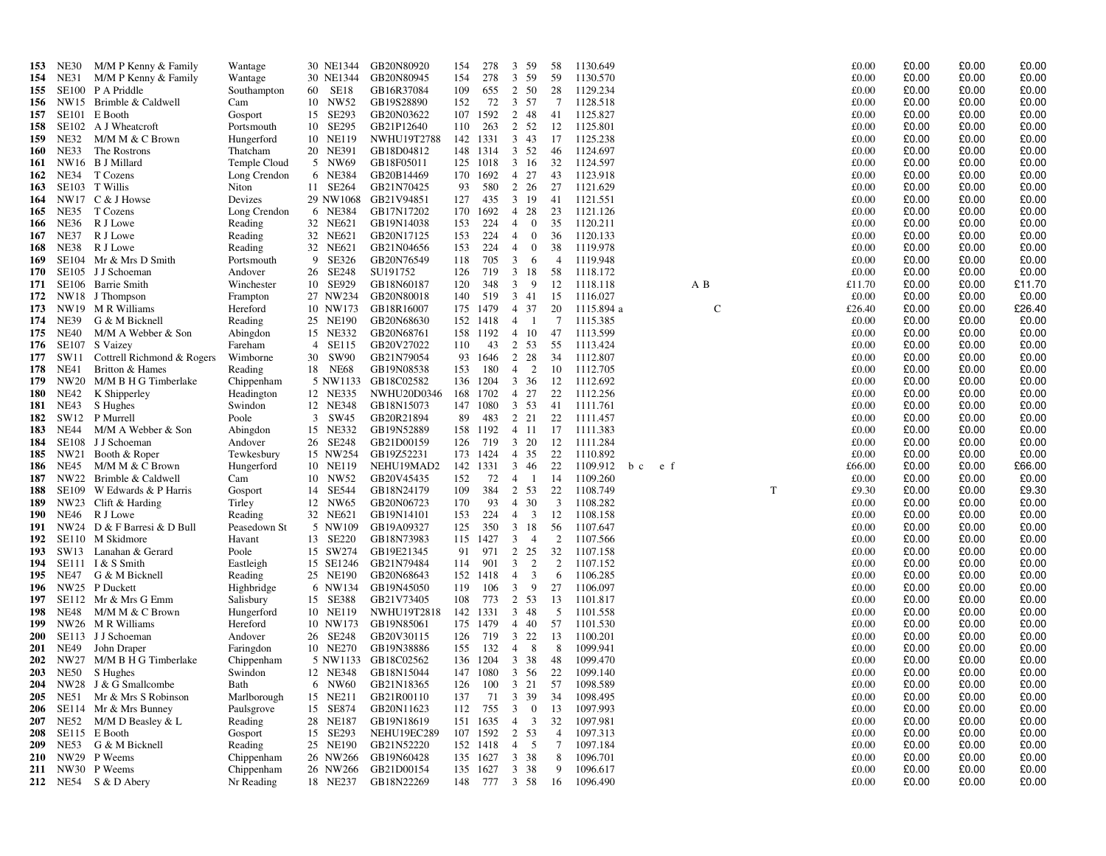| 153               | <b>NE30</b> | M/M P Kenny & Family                     | Wantage               |                      | 30 NE1344 GB20N80920              | 154      | 278             | 3<br>59                          | -58                     | 1130.649             |     |     |             |   | £0.00          | £0.00          | £0.00          | £0.00          |
|-------------------|-------------|------------------------------------------|-----------------------|----------------------|-----------------------------------|----------|-----------------|----------------------------------|-------------------------|----------------------|-----|-----|-------------|---|----------------|----------------|----------------|----------------|
| 154               | NE31        | M/M P Kenny & Family                     | Wantage               |                      | 30 NE1344 GB20N80945              | 154      | 278             | 3<br>59                          | -59                     | 1130.570             |     |     |             |   | £0.00          | £0.00          | £0.00          | £0.00          |
| 155               | SE100       | P A Priddle                              | Southampton           | 60 SE18              | GB16R37084                        | 109      | 655             | 2<br>50                          | 28                      | 1129.234             |     |     |             |   | £0.00          | £0.00          | £0.00          | £0.00          |
| 156               |             | NW15 Brimble & Caldwell                  | Cam                   | 10 NW52              | GB19S28890                        | 152      | 72              | 3 57                             | 7                       | 1128.518             |     |     |             |   | £0.00          | £0.00          | £0.00          | £0.00          |
| 157               | SE101       | E Booth                                  | Gosport               | 15 SE293             | GB20N03622                        |          | 107 1592        | 2<br>48                          | 41                      | 1125.827             |     |     |             |   | £0.00          | £0.00          | £0.00          | £0.00          |
| 158               |             | SE102 A J Wheatcroft                     | Portsmouth            | 10 SE295             | GB21P12640                        | 110      | 263             | 2 52                             | 12                      | 1125.801             |     |     |             |   | £0.00          | £0.00          | £0.00          | £0.00          |
| 159               | NE32        | M/M M & C Brown                          | Hungerford            | 10 NE119             | NWHU19T2788                       | 142 1331 |                 | $3 \quad 43$                     | 17                      | 1125.238             |     |     |             |   | £0.00          | £0.00          | £0.00          | £0.00          |
| 160               | NE33        | The Rostrons                             | Thatcham              | 20 NE391             | GB18D04812                        |          | 148 1314        | 3 52                             | 46                      | 1124.697             |     |     |             |   | £0.00          | £0.00          | £0.00          | £0.00          |
| 161               |             | NW16 B J Millard                         | Temple Cloud          | 5 NW69               | GB18F05011                        |          | 125 1018        | 3 16                             | 32                      | 1124.597             |     |     |             |   | £0.00          | £0.00          | £0.00          | £0.00          |
| 162               | <b>NE34</b> | T Cozens                                 | Long Crendon          | 6 NE384              | GB20B14469                        |          | 170 1692        | 27<br>$\overline{4}$             | 43                      | 1123.918             |     |     |             |   | £0.00          | £0.00          | £0.00          | £0.00          |
| 163               |             | SE103 T Willis                           | Niton                 | 11 SE264             | GB21N70425                        | 93       | 580             | 2 26                             | 27                      | 1121.629             |     |     |             |   | £0.00          | £0.00          | £0.00          | £0.00          |
| 164               |             | NW17 C & J Howse                         | Devizes               |                      | 29 NW1068 GB21V94851              | 127      | 435             | 3 19                             | -41                     | 1121.551             |     |     |             |   | £0.00          | £0.00          | £0.00          | £0.00          |
| 165               | NE35        | T Cozens                                 | Long Crendon          | 6 NE384              | GB17N17202                        |          | 170 1692        | 4 28                             | 23                      | 1121.126             |     |     |             |   | £0.00          | £0.00          | £0.00          | £0.00          |
| 166               | <b>NE36</b> | R J Lowe                                 | Reading               | 32 NE621             | GB19N14038                        | 153      | 224             | $\overline{0}$<br>$\overline{4}$ | 35                      | 1120.211             |     |     |             |   | £0.00          | £0.00          | £0.00          | £0.00          |
| 167               | NE37        | R J Lowe                                 | Reading               | 32 NE621             | GB20N17125                        | 153      | 224             | $\overline{4}$<br>$\mathbf{0}$   | 36                      | 1120.133             |     |     |             |   | £0.00          | £0.00          | £0.00          | £0.00          |
| 168               | NE38        | R J Lowe                                 | Reading               | 32 NE621             | GB21N04656                        | 153      | 224             | $\overline{0}$<br>$\overline{4}$ | 38                      | 1119.978             |     |     |             |   | £0.00          | £0.00          | £0.00          | £0.00          |
| 169               | SE104       | Mr & Mrs D Smith                         | Portsmouth            | 9 SE326              | GB20N76549                        | 118      | 705             | 3<br>-6                          | $\overline{4}$          | 1119.948             |     |     |             |   | £0.00          | £0.00          | £0.00          | £0.00          |
| 170               |             | SE105 J J Schoeman                       | Andover               | 26 SE248             | SU191752                          | 126      | 719             | 3 18                             | 58                      | 1118.172             |     |     |             |   | £0.00          | £0.00          | £0.00          | £0.00          |
| 171               |             | SE106 Barrie Smith                       | Winchester            | 10 SE929             | GB18N60187                        | 120      | 348             | 3<br>- 9                         | 12                      | 1118.118             |     |     | A B         |   | £11.70         | £0.00          | £0.00          | £11.70         |
| 172               |             | NW18 J Thompson                          | Frampton              | 27 NW234             | GB20N80018                        | 140      | 519             | 3 41                             | 15                      | 1116.027             |     |     |             |   | £0.00          | £0.00          | £0.00          | £0.00          |
| 173               |             | NW19 MR Williams                         | Hereford              | 10 NW173             | GB18R16007                        | 175      | 1479            | 4 37                             | 20                      | 1115.894 a           |     |     | $\mathbf C$ |   | £26.40         | £0.00          | £0.00          | £26.40         |
| 174               | NE39        | G & M Bicknell                           | Reading               | 25 NE190             | GB20N68630                        |          | 152 1418        | 4 1                              | 7                       | 1115.385             |     |     |             |   | £0.00          | £0.00          | £0.00          | £0.00          |
| 175               | NE40        | M/M A Webber & Son                       | Abingdon              | 15 NE332             | GB20N68761                        |          | 158 1192        | 4 10                             | 47                      | 1113.599             |     |     |             |   | £0.00          | £0.00          | £0.00          | £0.00          |
| 176               |             | SE107 S Vaizey                           | Fareham               | 4 SE115              | GB20V27022                        | 110      | 43              | 2 53                             | 55                      | 1113.424             |     |     |             |   | £0.00          | £0.00          | £0.00          | £0.00          |
| 177               | SW11        | Cottrell Richmond & Rogers               | Wimborne              | 30 SW90              | GB21N79054                        |          | 93 1646         | 2 28                             | 34                      | 1112.807             |     |     |             |   | £0.00          | £0.00          | £0.00          | £0.00          |
| 178               | NE41        | Britton & Hames                          | Reading               | 18 NE68              | GB19N08538                        | 153      | 180             | $4\quad 2$                       | 10                      | 1112.705             |     |     |             |   | £0.00          | £0.00          | £0.00          | £0.00          |
| 179               |             | NW20 M/M B H G Timberlake                | Chippenham            |                      | 5 NW1133 GB18C02582               |          | 136 1204        | 3 36                             | 12                      | 1112.692             |     |     |             |   | £0.00          | £0.00          | £0.00          | £0.00          |
| 180               | NE42        | K Shipperley                             | Headington            | 12 NE335             | <b>NWHU20D0346</b>                |          | 168 1702        | 4 27                             | 22                      | 1112.256             |     |     |             |   | £0.00          | £0.00          | £0.00          | £0.00          |
| 181               | <b>NE43</b> | S Hughes                                 | Swindon               | 12 NE348             | GB18N15073                        |          | 147 1080        | 3 53                             | 41                      | 1111.761             |     |     |             |   | £0.00          | £0.00          | £0.00          | £0.00          |
| 182               | SW12        | P Murrell                                | Poole                 | 3 SW45               | GB20R21894                        | 89       | 483             | 2 2 1                            | 22                      | 1111.457             |     |     |             |   | £0.00          | £0.00          | £0.00          | £0.00          |
| 183               | NE44        | M/M A Webber & Son                       | Abingdon              | 15 NE332             | GB19N52889                        |          | 158 1192        | 4 11                             | 17                      | 1111.383             |     |     |             |   | £0.00          | £0.00          | £0.00          | £0.00          |
| 184<br>185        |             | SE108 J J Schoeman<br>NW21 Booth & Roper | Andover<br>Tewkesbury | 26 SE248<br>15 NW254 | GB21D00159<br>GB19Z52231          | 126      | 719<br>173 1424 | 20<br>3<br>4 35                  | 12<br>22                | 1111.284<br>1110.892 |     |     |             |   | £0.00<br>£0.00 | £0.00<br>£0.00 | £0.00<br>£0.00 | £0.00<br>£0.00 |
| 186               | <b>NE45</b> | M/M M & C Brown                          | Hungerford            | 10 NE119             | NEHU19MAD2                        |          | 142 1331        | 46<br>$\mathbf{3}$               | 22                      | 1109.912             | b c | e f |             |   | £66.00         | £0.00          | £0.00          | £66.00         |
| 187               |             | NW22 Brimble & Caldwell                  | Cam                   | 10 NW52              | GB20V45435                        | 152      | 72              | 4<br>$\overline{1}$              | -14                     | 1109.260             |     |     |             |   | £0.00          | £0.00          | £0.00          | £0.00          |
| 188               |             | SE109 W Edwards & P Harris               | Gosport               | 14 SE544             | GB18N24179                        | 109      | 384             | 2 53                             | 22                      | 1108.749             |     |     |             | T | £9.30          | £0.00          | £0.00          | £9.30          |
| 189               | NW23        | Clift & Harding                          | Tirley                | 12 NW65              | GB20N06723                        | 170      | 93              | 4 30                             | $\overline{\mathbf{3}}$ | 1108.282             |     |     |             |   | £0.00          | £0.00          | £0.00          | £0.00          |
| 190               | NE46        | R J Lowe                                 | Reading               | 32 NE621             | GB19N14101                        | 153      | 224             | $\overline{\mathbf{3}}$<br>4     | 12                      | 1108.158             |     |     |             |   | £0.00          | £0.00          | £0.00          | £0.00          |
| 191               |             | NW24 D & F Barresi & D Bull              | Peasedown St          | 5 NW109              | GB19A09327                        | 125      | 350             | 3<br>18                          | 56                      | 1107.647             |     |     |             |   | £0.00          | £0.00          | £0.00          | £0.00          |
| 192               |             | SE110 M Skidmore                         | Havant                | 13 SE220             | GB18N73983                        |          | 115 1427        | $\mathbf{3}$<br>$\overline{4}$   | 2                       | 1107.566             |     |     |             |   | £0.00          | £0.00          | £0.00          | £0.00          |
| 193               |             | SW13 Lanahan & Gerard                    | Poole                 | 15 SW274             | GB19E21345                        | 91       | 971             | 25<br>$\overline{2}$             | 32                      | 1107.158             |     |     |             |   | £0.00          | £0.00          | £0.00          | £0.00          |
| 194               |             | SE111 I & S Smith                        | Eastleigh             | 15 SE1246            | GB21N79484                        | 114      | 901             | 2<br>3                           | 2                       | 1107.152             |     |     |             |   | £0.00          | £0.00          | £0.00          | £0.00          |
| 195               | NE47        | G & M Bicknell                           | Reading               | 25 NE190             | GB20N68643                        |          | 152 1418        | 3<br>$\overline{4}$              | -6                      | 1106.285             |     |     |             |   | £0.00          | £0.00          | £0.00          | £0.00          |
| 196               |             | NW25 P Duckett                           | Highbridge            | 6 NW134              | GB19N45050                        | 119      | 106             | $\mathbf{3}$<br>- 9              | 27                      | 1106.097             |     |     |             |   | £0.00          | £0.00          | £0.00          | £0.00          |
| 197               |             | SE112 Mr & Mrs G Emm                     | Salisbury             | 15 SE388             | GB21V73405                        | 108      | 773             | 2 53                             | 13                      | 1101.817             |     |     |             |   | £0.00          | £0.00          | £0.00          | £0.00          |
| 198               | NE48        | M/M M & C Brown                          | Hungerford            | 10 NE119             | <b>NWHU19T2818</b>                |          | 142 1331        | $3 \quad 48$                     | 5                       | 1101.558             |     |     |             |   | £0.00          | £0.00          | £0.00          | £0.00          |
| 199               |             | NW26 M R Williams                        | Hereford              | 10 NW173             | GB19N85061                        |          | 175 1479        | 4 40                             | 57                      | 1101.530             |     |     |             |   | £0.00          | £0.00          | £0.00          | £0.00          |
| <b>200</b>        |             | SE113 J J Schoeman                       | Andover               | 26 SE248             | GB20V30115                        | 126      | 719             | 3<br>22                          | 13                      | 1100.201             |     |     |             |   | £0.00          | £0.00          | £0.00          | £0.00          |
| <b>201</b>        | NE49        | John Draper                              | Faringdon             | 10 NE270             | GB19N38886                        | 155      | 132             | $4 \quad 8$                      | 8                       | 1099.941             |     |     |             |   | £0.00          | £0.00          | £0.00          | £0.00          |
| 202               |             | NW27 M/M B H G Timberlake                | Chippenham            |                      | 5 NW1133 GB18C02562               |          | 136 1204        | 38<br>3                          | -48                     | 1099.470             |     |     |             |   | £0.00          | £0.00          | £0.00          | £0.00          |
|                   |             | 203 NE50 S Hughes                        | Swindon               |                      | 12 NE348 GB18N15044               |          |                 | 147 1080 3 56                    | 22                      | 1099.140             |     |     |             |   | £0.00          | £0.00          | £0.00          | £0.00          |
|                   |             | 204 NW28 J & G Smallcombe                | Bath                  |                      | 6 NW60 GB21N18365                 |          |                 | 126 100 3 21                     |                         | 57 1098.589          |     |     |             |   | £0.00          | £0.00          | £0.00          | £0.00          |
|                   |             | 205 NE51 Mr & Mrs S Robinson             | Marlborough           |                      | 15 NE211 GB21R00110               | 137      | 71              | 3 39                             | 34                      | 1098.495             |     |     |             |   | £0.00          | £0.00          | £0.00          | £0.00          |
|                   |             | 206 SE114 Mr & Mrs Bunney                | Paulsgrove            | 15 SE874             | GB20N11623                        |          | 112 755         | $\mathbf{3}$<br>$\mathbf{0}$     | 13                      | 1097.993             |     |     |             |   | £0.00          | £0.00          | £0.00          | £0.00          |
| 207               | <b>NE52</b> | M/M D Beasley & L                        | Reading               | 28 NE187             | GB19N18619                        |          | 151 1635        | $4 \quad 3$                      | 32                      | 1097.981             |     |     |             |   | £0.00          | £0.00          | £0.00          | £0.00          |
| 208               |             | SE115 E Booth                            | Gosport               | 15 SE293             | NEHU19EC289                       |          |                 | 107 1592 2 53                    | $\overline{4}$          | 1097.313             |     |     |             |   | £0.00          | £0.00          | £0.00          | £0.00          |
| 209               | NE53        | G & M Bicknell<br>NW29 P Weems           | Reading<br>Chippenham | 25 NE190             | GB21N52220<br>26 NW266 GB19N60428 |          | 152 1418        | $4\quad 5$<br>135 1627 3 38      | 7<br>8                  | 1097.184<br>1096.701 |     |     |             |   | £0.00<br>£0.00 | £0.00<br>£0.00 | £0.00<br>£0.00 | £0.00<br>£0.00 |
| <b>210</b><br>211 |             | NW30 P Weems                             | Chippenham            | 26 NW266             | GB21D00154                        |          | 135 1627        | 3 38                             | 9                       | 1096.617             |     |     |             |   | £0.00          | £0.00          | £0.00          | £0.00          |
|                   |             | 212 NE54 S & D Abery                     | Nr Reading            | 18 NE237             | GB18N22269                        |          |                 | 148 777 3 58                     | -16                     | 1096.490             |     |     |             |   | £0.00          | £0.00          | £0.00          | £0.00          |
|                   |             |                                          |                       |                      |                                   |          |                 |                                  |                         |                      |     |     |             |   |                |                |                |                |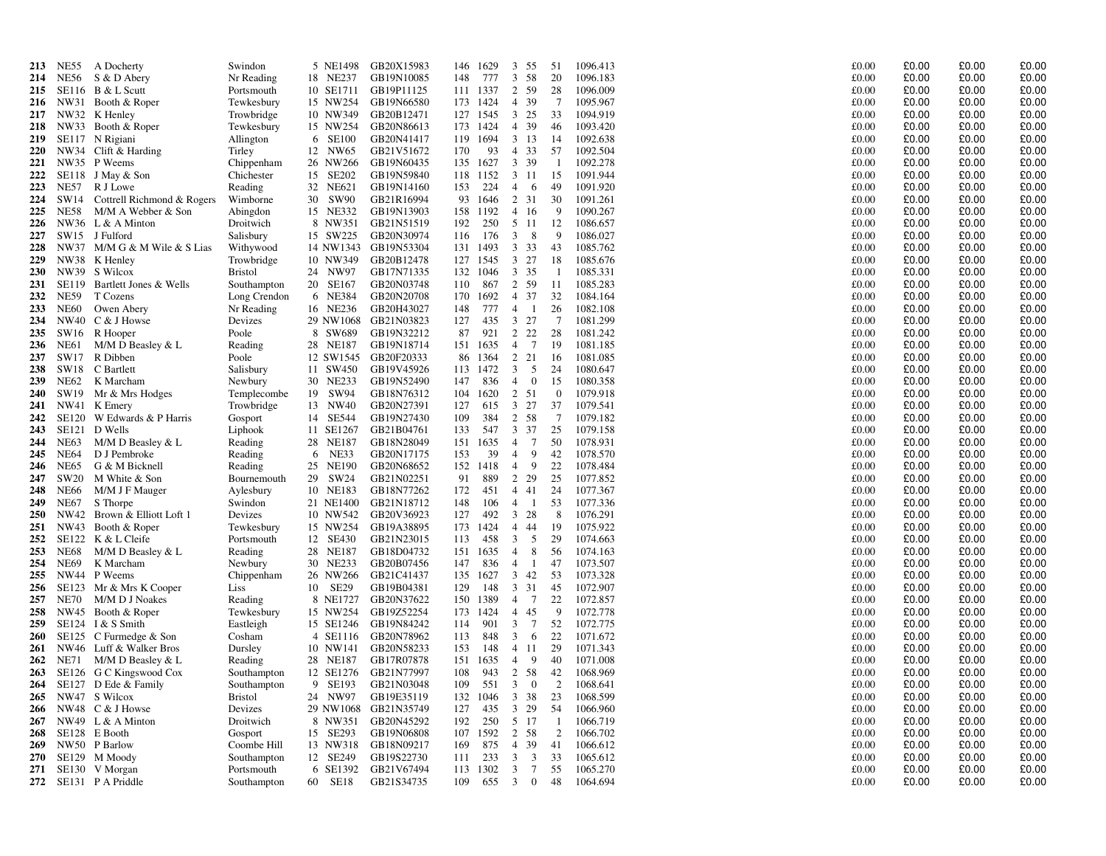| 213               | NE55          | A Docherty                         | Swindon                     | 5 NE1498             | GB20X15983               |            | 146 1629    | 3<br>55                                              | 51              | 1096.413             | £0.00          | £0.00          | £0.00          | £0.00          |
|-------------------|---------------|------------------------------------|-----------------------------|----------------------|--------------------------|------------|-------------|------------------------------------------------------|-----------------|----------------------|----------------|----------------|----------------|----------------|
| 214               | NE56          | S & D Abery                        | Nr Reading                  | 18 NE237             | GB19N10085               | 148        | 777         | 3<br>58                                              | 20              | 1096.183             | £0.00          | £0.00          | £0.00          | £0.00          |
| 215               |               | SE116 B $&$ L Scutt                | Portsmouth                  | 10 SE1711            | GB19P11125               |            | 111 1337    | 2<br>59                                              | 28              | 1096.009             | £0.00          | £0.00          | £0.00          | £0.00          |
| 216               |               | NW31 Booth & Roper                 | Tewkesbury                  | 15 NW254             | GB19N66580               |            | 173 1424    | 39<br>$\overline{4}$                                 | $7\phantom{.0}$ | 1095.967             | £0.00          | £0.00          | £0.00          | £0.00          |
| 217               |               | NW32 K Henley                      | Trowbridge                  | 10 NW349             | GB20B12471               |            | 127 1545    | $3\;\;25$                                            | 33              | 1094.919             | £0.00          | £0.00          | £0.00          | £0.00          |
| 218               | NW33          | Booth & Roper                      | Tewkesbury                  | 15 NW254             | GB20N86613               | 173        | 1424        | 4 39                                                 | 46              | 1093.420             | £0.00          | £0.00          | £0.00          | £0.00          |
| 219               |               | SE117 N Rigiani                    | Allington                   | 6 SE100              | GB20N41417               | 119        | 1694        | $3 \t13$                                             | 14              | 1092.638             | £0.00          | £0.00          | £0.00          | £0.00          |
| <b>220</b>        |               | NW34 Clift & Harding               | Tirley                      | 12 NW65              | GB21V51672               | 170        | 93          | $\overline{4}$<br>33                                 | 57              | 1092.504             | £0.00          | £0.00          | £0.00          | £0.00          |
| 221               |               | NW35 P Weems                       | Chippenham                  | 26 NW266             | GB19N60435               | 135        | 1627        | 3 39                                                 | -1              | 1092.278             | £0.00          | £0.00          | £0.00          | £0.00          |
| 222               | SE118         | J May & Son                        | Chichester                  | 15 SE202             | GB19N59840               | 118        | 1152        | 3 11                                                 | 15              | 1091.944             | £0.00          | £0.00          | £0.00          | £0.00          |
| 223               | <b>NE57</b>   | R J Lowe                           | Reading                     | 32 NE621             | GB19N14160               | 153        | 224         | 4<br>- 6                                             | 49              | 1091.920             | £0.00          | £0.00          | £0.00          | £0.00          |
| 224               | SW14          | Cottrell Richmond & Rogers         | Wimborne                    | 30 SW90              | GB21R16994               | 93         | 1646        | 2 31                                                 | 30              | 1091.261             | £0.00          | £0.00          | £0.00          | £0.00          |
| 225               | <b>NE58</b>   | M/M A Webber & Son                 | Abingdon                    | 15 NE332             | GB19N13903               | 158        | 1192        | 4 16                                                 | 9               | 1090.267             | £0.00          | £0.00          | £0.00          | £0.00          |
| 226               |               | NW36 L & A Minton                  | Droitwich                   | 8 NW351              | GB21N51519               | 192        | 250         | 5 11                                                 | 12              | 1086.657             | £0.00          | £0.00          | £0.00          | £0.00          |
| 227               |               | SW15 J Fulford                     | Salisbury                   | 15 SW225             | GB20N30974               | 116        | 176         | - 8<br>3                                             | 9               | 1086.027             | £0.00          | £0.00          | £0.00          | £0.00          |
| 228               |               | NW37 M/M G & M Wile & S Lias       | Withywood                   | 14 NW1343            | GB19N53304               | 131        | 1493        | 3<br>33                                              | 43              | 1085.762             | £0.00          | £0.00          | £0.00          | £0.00          |
| 229               |               | NW38 K Henley                      | Trowbridge                  | 10 NW349             | GB20B12478               | 127        | 1545        | $3 \t27$                                             | 18              | 1085.676             | £0.00<br>£0.00 | £0.00<br>£0.00 | £0.00<br>£0.00 | £0.00<br>£0.00 |
| <b>230</b><br>231 | NW39<br>SE119 | S Wilcox<br>Bartlett Jones & Wells | <b>Bristol</b>              | 24 NW97<br>20 SE167  | GB17N71335<br>GB20N03748 | 132<br>110 | 1046<br>867 | 3 35<br>2 59                                         | -1<br>11        | 1085.331<br>1085.283 | £0.00          | £0.00          | £0.00          | £0.00          |
| 232               | <b>NE59</b>   | T Cozens                           | Southampton<br>Long Crendon | 6 NE384              | GB20N20708               | 170        | 1692        | 4 37                                                 | 32              | 1084.164             | £0.00          | £0.00          | £0.00          | £0.00          |
| 233               | <b>NE60</b>   | Owen Abery                         | Nr Reading                  | 16 NE236             | GB20H43027               | 148        | 777         | $\overline{4}$<br>- 1                                | 26              | 1082.108             | £0.00          | £0.00          | £0.00          | £0.00          |
| 234               | <b>NW40</b>   | C & J Howse                        | Devizes                     | 29 NW1068            | GB21N03823               | 127        | 435         | $3 \t27$                                             | 7               | 1081.299             | £0.00          | £0.00          | £0.00          | £0.00          |
| 235               | SW16          | R Hooper                           | Poole                       | 8 SW689              | GB19N32212               | 87         | 921         | 2 2 2                                                | 28              | 1081.242             | £0.00          | £0.00          | £0.00          | £0.00          |
| 236               | <b>NE61</b>   | M/M D Beasley & L                  | Reading                     | 28 NE187             | GB19N18714               |            | 151 1635    | 4 7                                                  | 19              | 1081.185             | £0.00          | £0.00          | £0.00          | £0.00          |
| 237               | SW17          | R Dibben                           | Poole                       | 12 SW1545            | GB20F20333               | 86         | 1364        | 2 21                                                 | 16              | 1081.085             | £0.00          | £0.00          | £0.00          | £0.00          |
| 238               | SW18          | C Bartlett                         | Salisbury                   | 11 SW450             | GB19V45926               | 113        | 1472        | 3<br>5                                               | 24              | 1080.647             | £0.00          | £0.00          | £0.00          | £0.00          |
| 239               | NE62          | K Marcham                          | Newbury                     | 30 NE233             | GB19N52490               | 147        | 836         | $\overline{4}$<br>$\bf{0}$                           | 15              | 1080.358             | £0.00          | £0.00          | £0.00          | £0.00          |
| 240               | SW19          | Mr & Mrs Hodges                    | Templecombe                 | 19 SW94              | GB18N76312               | 104        | 1620        | 2 51                                                 | $\overline{0}$  | 1079.918             | £0.00          | £0.00          | £0.00          | £0.00          |
| 241               | NW41          | K Emery                            | Trowbridge                  | 13 NW40              | GB20N27391               | 127        | 615         | $3 \t27$                                             | 37              | 1079.541             | £0.00          | £0.00          | £0.00          | £0.00          |
| 242               | SE120         | W Edwards & P Harris               | Gosport                     | 14 SE544             | GB19N27430               | 109        | 384         | 2 58                                                 | $7\phantom{.0}$ | 1079.182             | £0.00          | £0.00          | £0.00          | £0.00          |
| 243               | SE121         | D Wells                            | Liphook                     | 11 SE1267            | GB21B04761               | 133        | 547         | $3 \t37$                                             | 25              | 1079.158             | £0.00          | £0.00          | £0.00          | £0.00          |
| 244               | <b>NE63</b>   | $M/M$ D Beasley & L                | Reading                     | 28 NE187             | GB18N28049               | 151        | 1635        | $7\phantom{.0}$<br>$\overline{4}$                    | 50              | 1078.931             | £0.00          | £0.00          | £0.00          | £0.00          |
| 245               | <b>NE64</b>   | D J Pembroke                       | Reading                     | 6 NE33               | GB20N17175               | 153        | 39          | $\overline{4}$<br>9                                  | 42              | 1078.570             | £0.00          | £0.00          | £0.00          | £0.00          |
| 246               | <b>NE65</b>   | G & M Bicknell                     | Reading                     | 25 NE190             | GB20N68652               | 152        | 1418        | 9<br>$\overline{4}$                                  | 22              | 1078.484             | £0.00          | £0.00          | £0.00          | £0.00          |
| 247               | SW20          | M White & Son                      | Bournemouth                 | 29 SW24              | GB21N02251               | 91         | 889         | 2 2 9                                                | 25              | 1077.852             | £0.00          | £0.00          | £0.00          | £0.00          |
| 248               | <b>NE66</b>   | M/M J F Mauger                     | Aylesbury                   | 10 NE183             | GB18N77262               | 172        | 451         | 4 4 1                                                | 24              | 1077.367             | £0.00          | £0.00          | £0.00          | £0.00          |
| 249               | <b>NE67</b>   | S Thorpe                           | Swindon                     | 21 NE1400            | GB21N18712               | 148        | 106         | $\overline{4}$<br>-1                                 | 53              | 1077.336             | £0.00          | £0.00          | £0.00          | £0.00          |
| <b>250</b>        | NW42          | Brown & Elliott Loft 1             | Devizes                     | 10 NW542             | GB20V36923               | 127        | 492         | $3 \t28$                                             | 8               | 1076.291             | £0.00          | £0.00          | £0.00<br>£0.00 | £0.00          |
| 251<br>252        | NW43<br>SE122 | Booth & Roper<br>K & L Cleife      | Tewkesbury<br>Portsmouth    | 15 NW254<br>12 SE430 | GB19A38895<br>GB21N23015 | 173<br>113 | 1424<br>458 | 4 44<br>- 5<br>3                                     | 19<br>29        | 1075.922<br>1074.663 | £0.00<br>£0.00 | £0.00<br>£0.00 | £0.00          | £0.00<br>£0.00 |
| 253               | <b>NE68</b>   | M/M D Beasley & L                  | Reading                     | 28 NE187             | GB18D04732               | 151        | 1635        | 8<br>$\overline{4}$                                  | 56              | 1074.163             | £0.00          | £0.00          | £0.00          | £0.00          |
| 254               | <b>NE69</b>   | K Marcham                          | Newbury                     | 30 NE233             | GB20B07456               | 147        | 836         | - 1<br>$\overline{4}$                                | 47              | 1073.507             | £0.00          | £0.00          | £0.00          | £0.00          |
| 255               | <b>NW44</b>   | P Weems                            | Chippenham                  | 26 NW266             | GB21C41437               | 135        | 1627        | $3 \quad 42$                                         | 53              | 1073.328             | £0.00          | £0.00          | £0.00          | £0.00          |
| 256               | <b>SE123</b>  | Mr & Mrs K Cooper                  | Liss                        | 10 SE29              | GB19B04381               | 129        | 148         | 3 31                                                 | 45              | 1072.907             | £0.00          | £0.00          | £0.00          | £0.00          |
| 257               | <b>NE70</b>   | M/M D J Noakes                     | Reading                     | 8 NE1727             | GB20N37622               | 150        | 1389        | 4 7                                                  | 22              | 1072.857             | £0.00          | £0.00          | £0.00          | £0.00          |
| 258               |               | NW45 Booth & Roper                 | Tewkesbury                  | 15 NW254             | GB19Z52254               | 173        | 1424        | 4 45                                                 | 9               | 1072.778             | £0.00          | £0.00          | £0.00          | £0.00          |
| 259               | SE124         | I & S Smith                        | Eastleigh                   | 15 SE1246            | GB19N84242               | 114        | 901         | $7\phantom{.0}$<br>3                                 | 52              | 1072.775             | £0.00          | £0.00          | £0.00          | £0.00          |
| 260               | SE125         | C Furmedge & Son                   | Cosham                      | 4 SE1116             | GB20N78962               | 113        | 848         | $\mathbf{3}$<br>- 6                                  | 22              | 1071.672             | £0.00          | £0.00          | £0.00          | £0.00          |
| 261               |               | NW46 Luff & Walker Bros            | Dursley                     | 10 NW141             | GB20N58233               | 153        | 148         | 4 11                                                 | 29              | 1071.343             | £0.00          | £0.00          | £0.00          | £0.00          |
| 262               | <b>NE71</b>   | M/M D Beasley & L                  | Reading                     | 28 NE187             | GB17R07878               | 151        | 1635        | $\overline{4}$<br>9                                  | 40              | 1071.008             | £0.00          | £0.00          | £0.00          | £0.00          |
| 263               | SE126         | G C Kingswood Cox                  | Southampton                 | 12 SE1276            | GB21N77997               | 108        | 943         | 2 58                                                 | 42              | 1068.969             | £0.00          | £0.00          | £0.00          | £0.00          |
| 264               | SE127         | D Ede & Family                     | Southampton                 | 9 SE193              | GB21N03048               | 109        | 551         | $\overline{0}$<br>3                                  | 2               | 1068.641             | £0.00          | £0.00          | £0.00          | £0.00          |
| 265               |               | NW47 S Wilcox                      | <b>Bristol</b>              | 24 NW97              | GB19E35119               | 132        | 1046        | 3<br>38                                              | 23              | 1068.599             | £0.00          | £0.00          | £0.00          | £0.00          |
| 266               |               | NW48 C & J Howse                   | Devizes                     |                      | 29 NW1068 GB21N35749     | 127        | 435         | $3 \t29$                                             | 54              | 1066.960             | £0.00          | £0.00          | £0.00          | £0.00          |
| 267               | NW49          | $L & A$ Minton                     | Droitwich                   | 8 NW351              | GB20N45292               | 192        | 250         | 5 17                                                 | $\overline{1}$  | 1066.719             | £0.00          | £0.00          | £0.00          | £0.00          |
| 268               | SE128         | E Booth                            | Gosport                     | 15 SE293             | GB19N06808               | 107        | 1592        | 2 58                                                 | 2               | 1066.702             | £0.00          | £0.00          | £0.00          | £0.00          |
| 269<br>270        | NW50          | P Barlow                           | Coombe Hill                 | 13 NW318<br>12 SE249 | GB18N09217<br>GB19S22730 | 169<br>111 | 875<br>233  | 39<br>$\overline{4}$<br>3<br>$\overline{\mathbf{3}}$ | 41<br>33        | 1066.612<br>1065.612 | £0.00<br>£0.00 | £0.00<br>£0.00 | £0.00<br>£0.00 | £0.00<br>£0.00 |
| 271               |               | SE129 M Moody<br>SE130 V Morgan    | Southampton<br>Portsmouth   | 6 SE1392             | GB21V67494               |            | 113 1302    | $7\phantom{.0}$<br>3                                 | 55              | 1065.270             | £0.00          | £0.00          | £0.00          | £0.00          |
| 272               |               | SE131 P A Priddle                  | Southampton                 | 60 SE18              | GB21S34735               | 109        | 655         | $\mathbf{3}$<br>$\overline{0}$                       | 48              | 1064.694             | £0.00          | £0.00          | £0.00          | £0.00          |
|                   |               |                                    |                             |                      |                          |            |             |                                                      |                 |                      |                |                |                |                |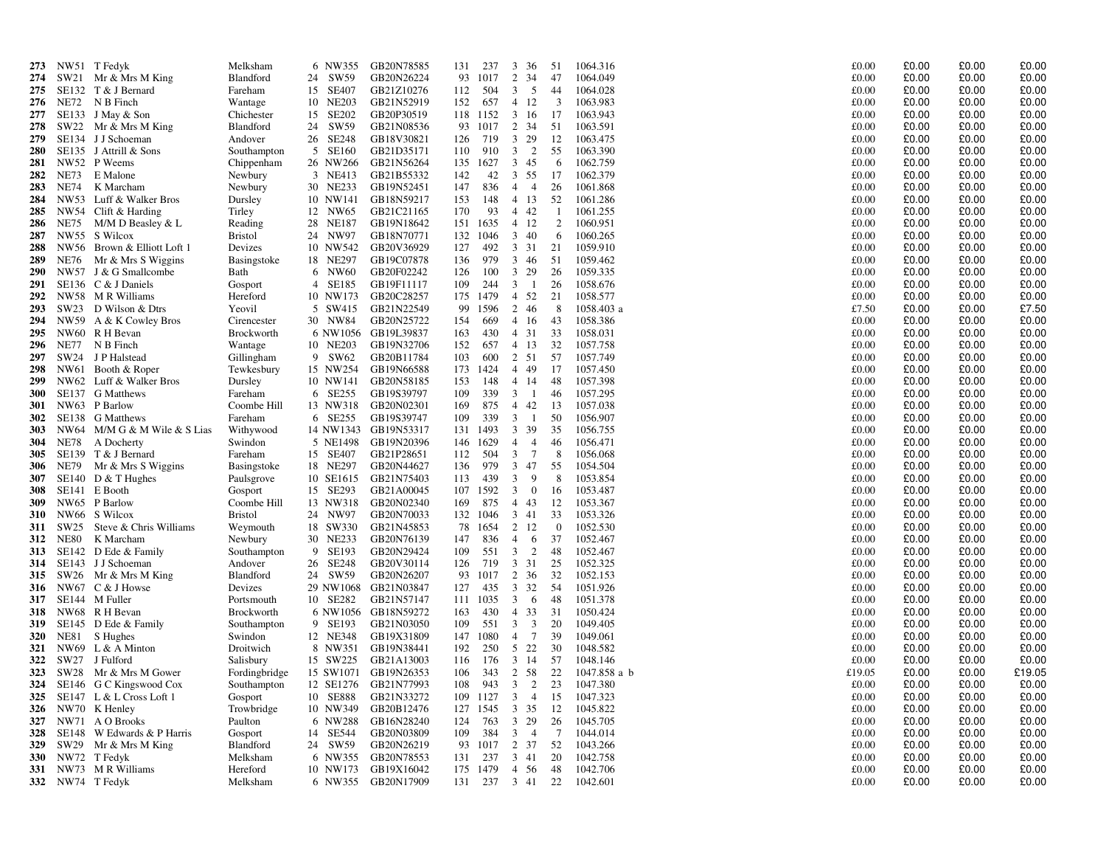| 273               |      | NW51 T Fedyk                                          | Melksham               | 6 NW355             | GB20N78585                       | 131        | 237        | 3 36                                               | 51                   | 1064.316             | £0.00          | £0.00          | £0.00          | £0.00          |
|-------------------|------|-------------------------------------------------------|------------------------|---------------------|----------------------------------|------------|------------|----------------------------------------------------|----------------------|----------------------|----------------|----------------|----------------|----------------|
| 274               |      | SW21 Mr & Mrs M King                                  | Blandford              | 24 SW59             | GB20N26224                       | 93         | 1017       | 2<br>34                                            | 47                   | 1064.049             | £0.00          | £0.00          | £0.00          | £0.00          |
| 275               |      | SE132 T & J Bernard                                   | Fareham                | 15 SE407            | GB21Z10276                       | 112        | 504        | 3<br>5                                             | 44                   | 1064.028             | £0.00          | £0.00          | £0.00          | £0.00          |
|                   |      | 276 NE72 N B Finch                                    | Wantage                | 10 NE203            | GB21N52919                       | 152        | 657        | 4 12                                               | -3                   | 1063.983             | £0.00          | £0.00          | £0.00          | £0.00          |
| 277               |      | SE133 J May & Son                                     | Chichester             | 15 SE202            | GB20P30519                       |            | 118 1152   | 3 16                                               | 17                   | 1063.943             | £0.00          | £0.00          | £0.00          | £0.00          |
| 278               |      | SW22 Mr & Mrs M King                                  | Blandford              | 24 SW59             | GB21N08536                       |            | 93 1017    | 2 34                                               | 51                   | 1063.591             | £0.00          | £0.00          | £0.00          | £0.00          |
| 279               |      | SE134 J J Schoeman                                    | Andover                | 26 SE248            | GB18V30821                       | 126        | 719        | 3 29                                               | 12                   | 1063.475             | £0.00          | £0.00          | £0.00          | £0.00          |
| 280               |      | SE135 J Attrill & Sons                                | Southampton            | 5 SE160             | GB21D35171                       | 110        | 910        | $3\quad 2$                                         | 55                   | 1063.390             | £0.00          | £0.00          | £0.00          | £0.00          |
| 281               |      | NW52 P Weems                                          | Chippenham             | 26 NW266            | GB21N56264                       |            | 135 1627   | 3 45                                               | -6                   | 1062.759             | £0.00          | £0.00          | £0.00          | £0.00          |
| 282               | NE73 | E Malone                                              | Newbury                | 3 NE413             | GB21B55332                       | 142        | 42         | 3 55                                               | 17                   | 1062.379             | £0.00          | £0.00          | £0.00          | £0.00          |
| 283               | NE74 | K Marcham                                             | Newbury                | 30 NE233            | GB19N52451                       | 147        | 836        | $4 \quad 4$                                        | -26                  | 1061.868             | £0.00          | £0.00          | £0.00          | £0.00          |
| 284               |      | NW53 Luff & Walker Bros                               | Dursley                | 10 NW141            | GB18N59217                       | 153        | 148        | 4 13                                               | 52                   | 1061.286             | £0.00          | £0.00          | £0.00          | £0.00          |
| 285               |      | NW54 Clift & Harding                                  | Tirley                 | 12 NW65             | GB21C21165                       | 170        | 93         | 4 4 2                                              | -1                   | 1061.255             | £0.00          | £0.00          | £0.00          | £0.00          |
| 286               | NE75 | M/M D Beasley & L                                     | Reading                | 28 NE187            | GB19N18642                       |            | 151 1635   | 4 12                                               | 2                    | 1060.951             | £0.00          | £0.00          | £0.00          | £0.00          |
| 287               |      | NW55 S Wilcox                                         | <b>Bristol</b>         | 24 NW97             | GB18N70771                       |            | 132 1046   | $3\quad 40$                                        | -6                   | 1060.265             | £0.00          | £0.00          | £0.00          | £0.00          |
| 288               |      | NW56 Brown & Elliott Loft 1                           | Devizes                | 10 NW542            | GB20V36929                       | 127        | 492        | 3 3 1                                              | 21                   | 1059.910             | £0.00          | £0.00          | £0.00          | £0.00          |
| 289               |      | NE76 Mr & Mrs S Wiggins                               | Basingstoke            | 18 NE297            | GB19C07878                       | 136        | 979        | 3 46                                               | - 51                 | 1059.462             | £0.00          | £0.00          | £0.00          | £0.00          |
| <b>290</b>        |      | NW57 J & G Smallcombe                                 | Bath                   | 6 NW60              | GB20F02242                       | 126        | 100        | 3 29                                               | 26                   | 1059.335             | £0.00          | £0.00          | £0.00          | £0.00          |
| 291               |      | SE136 C & J Daniels                                   | Gosport                | 4 SE185             | GB19F11117                       | 109        | 244        | $3 \quad 1$                                        | 26                   | 1058.676             | £0.00          | £0.00          | £0.00          | £0.00          |
| 292               |      | NW58 MR Williams                                      | Hereford               | 10 NW173            | GB20C28257                       |            | 175 1479   | 4 52                                               | 21                   | 1058.577             | £0.00          | £0.00          | £0.00          | £0.00          |
| 293               |      | SW23 D Wilson & Dtrs                                  | Yeovil                 | 5 SW415             | GB21N22549                       | 99         | 1596       | 2 46                                               | - 8                  | 1058.403 a           | £7.50          | £0.00          | £0.00          | £7.50          |
| 294               |      | NW59 A & K Cowley Bros                                | Cirencester            | 30 NW84             | GB20N25722                       | 154        | 669        | 4 16                                               | 43                   | 1058.386             | £0.00          | £0.00          | £0.00          | £0.00          |
| 295               |      | NW60 R H Bevan                                        | Brockworth             |                     | 6 NW1056 GB19L39837              | 163        | 430        | 4 31                                               | 33                   | 1058.031             | £0.00          | £0.00          | £0.00          | £0.00          |
|                   |      | 296 NE77 N B Finch                                    | Wantage                | 10 NE203            | GB19N32706                       | 152        | 657        | 4 13                                               | 32                   | 1057.758             | £0.00          | £0.00          | £0.00          | £0.00          |
| 297               |      | SW24 J P Halstead                                     | Gillingham             | 9 SW62              | GB20B11784                       | 103        | 600        | 2 51                                               | 57                   | 1057.749             | £0.00          | £0.00          | £0.00          | £0.00          |
| 298               |      | NW61 Booth & Roper                                    | Tewkesbury             | 15 NW254            | GB19N66588                       | 173        | 1424       | 4 4 9                                              | -17                  | 1057.450             | £0.00          | £0.00          | £0.00          | £0.00          |
| 299               |      | NW62 Luff & Walker Bros                               | Dursley                | 10 NW141            | GB20N58185                       | 153        | 148        | 4 14                                               | 48                   | 1057.398             | £0.00          | £0.00          | £0.00          | £0.00          |
| <b>300</b>        |      | SE137 G Matthews<br>NW63 P Barlow                     | Fareham                | 6 SE255<br>13 NW318 | GB19S39797                       | 109        | 339<br>875 | $3 \quad 1$<br>4 4 2                               | 46                   | 1057.295             | £0.00<br>£0.00 | £0.00<br>£0.00 | £0.00<br>£0.00 | £0.00<br>£0.00 |
| <b>301</b><br>302 |      | SE138 G Matthews                                      | Coombe Hill<br>Fareham | 6 SE255             | GB20N02301<br>GB19S39747         | 169<br>109 | 339        | $\overline{\mathbf{3}}$<br>$\overline{1}$          | -13<br>50            | 1057.038<br>1056.907 | £0.00          | £0.00          | £0.00          | £0.00          |
| <b>303</b>        |      | NW64 M/M G & M Wile & S Lias                          | Withywood              |                     | 14 NW1343 GB19N53317             |            | 131 1493   | 3 39                                               | 35                   | 1056.755             | £0.00          | £0.00          | £0.00          | £0.00          |
| 304               | NE78 | A Docherty                                            | Swindon                | 5 NE1498            | GB19N20396                       |            | 146 1629   | $\overline{4}$<br>$\overline{4}$                   | 46                   | 1056.471             | £0.00          | £0.00          | £0.00          | £0.00          |
| 305               |      | SE139 T & J Bernard                                   | Fareham                | 15 SE407            | GB21P28651                       | 112        | 504        | $3 \overline{7}$                                   | - 8                  | 1056.068             | £0.00          | £0.00          | £0.00          | £0.00          |
| 306               | NE79 | Mr & Mrs S Wiggins                                    | Basingstoke            | 18 NE297            | GB20N44627                       | 136        | 979        | 3 47                                               | 55                   | 1054.504             | £0.00          | £0.00          | £0.00          | £0.00          |
| 307               |      | $SE140$ D & T Hughes                                  | Paulsgrove             |                     | 10 SE1615 GB21N75403             | 113        | 439        | -9<br>3                                            | 8                    | 1053.854             | £0.00          | £0.00          | £0.00          | £0.00          |
| 308               |      | SE141 E Booth                                         | Gosport                | 15 SE293            | GB21A00045                       |            | 107 1592   | $3 \quad 0$                                        | -16                  | 1053.487             | £0.00          | £0.00          | £0.00          | £0.00          |
| 309               |      | NW65 P Barlow                                         | Coombe Hill            | 13 NW318            | GB20N02340                       | 169        | 875        | 4 4 3                                              | 12                   | 1053.367             | £0.00          | £0.00          | £0.00          | £0.00          |
| <b>310</b>        |      | NW66 S Wilcox                                         | <b>Bristol</b>         | 24 NW97             | GB20N70033                       |            | 132 1046   | 3 41                                               | 33                   | 1053.326             | £0.00          | £0.00          | £0.00          | £0.00          |
| 311               | SW25 | Steve & Chris Williams                                | Weymouth               | 18 SW330            | GB21N45853                       | 78         | 1654       | 2 12                                               | $\overline{0}$       | 1052.530             | £0.00          | £0.00          | £0.00          | £0.00          |
|                   |      | 312 NE80 K Marcham                                    | Newbury                | 30 NE233            | GB20N76139                       | 147        | 836        | $\overline{4}$<br>6                                | 37                   | 1052.467             | £0.00          | £0.00          | £0.00          | £0.00          |
| 313               |      | SE142 D Ede & Family                                  | Southampton            | 9 SE193             | GB20N29424                       | 109        | 551        | 3<br>$\overline{2}$                                | 48                   | 1052.467             | £0.00          | £0.00          | £0.00          | £0.00          |
| 314               |      | SE143 J J Schoeman                                    | Andover                | 26 SE248            | GB20V30114                       | 126        | 719        | 3 3 1                                              | 25                   | 1052.325             | £0.00          | £0.00          | £0.00          | £0.00          |
| 315               |      | SW26 Mr & Mrs M King                                  | Blandford              | 24 SW59             | GB20N26207                       | 93         | 1017       | 2 36                                               | 32                   | 1052.153             | £0.00          | £0.00          | £0.00          | £0.00          |
| 316               |      | NW67 C & J Howse                                      | Devizes                |                     | 29 NW1068 GB21N03847             | 127        | 435        | 3 3 2                                              | -54                  | 1051.926             | £0.00          | £0.00          | £0.00          | £0.00          |
| 317               |      | SE144 M Fuller                                        | Portsmouth             | 10 SE282            | GB21N57147                       |            | 111 1035   | $\overline{3}$<br>- 6                              | 48                   | 1051.378             | £0.00          | £0.00          | £0.00          | £0.00          |
| 318               |      | NW68 R H Bevan                                        | <b>Brockworth</b>      |                     | 6 NW1056 GB18N59272              | 163        | 430        | 4 33                                               | 31                   | 1050.424             | £0.00          | £0.00          | £0.00          | £0.00          |
| 319               |      | SE145 D Ede & Family                                  | Southampton            | 9 SE193             | GB21N03050                       | 109        | 551        | $\overline{\mathbf{3}}$<br>$\overline{\mathbf{3}}$ | 20                   | 1049.405             | £0.00          | £0.00          | £0.00          | £0.00          |
| <b>320</b>        | NE81 | S Hughes                                              | Swindon                | 12 NE348            | GB19X31809                       | 147        | 1080       | $\overline{7}$<br>4                                | 39                   | 1049.061             | £0.00          | £0.00          | £0.00          | £0.00          |
| 321               |      | NW69 L & A Minton                                     | Droitwich              | 8 NW351             | GB19N38441                       | 192        | 250        | 5 22                                               | 30                   | 1048.582             | £0.00          | £0.00          | £0.00          | £0.00          |
| 322               |      | SW27 J Fulford                                        | Salisbury              | 15 SW225            | GB21A13003                       | 116        | 176        | 3 14                                               | 57                   | 1048.146             | £0.00          | £0.00          | £0.00          | £0.00          |
|                   |      | 323 SW28 Mr & Mrs M Gower                             | Fordingbridge          |                     | 15 SW1071 GB19N26353             | 106        | 343        | 2 58                                               | 22                   | 1047.858 a b         | £19.05         | £0.00          | £0.00          | £19.05         |
|                   |      | 324 SE146 G C Kingswood Cox                           | Southampton            |                     | 12 SE1276 GB21N77993             | 108        |            |                                                    |                      | 943 3 2 23 1047.380  | £0.00          | £0.00          | £0.00          | £0.00          |
|                   |      | 325 SE147 L & L Cross Loft 1                          | Gosport                |                     | 10 SE888 GB21N33272              |            |            | 109 1127 3 4 15                                    |                      | 1047.323             | £0.00          | £0.00          | £0.00          | £0.00          |
|                   |      | 326 NW70 K Henley                                     | Trowbridge             |                     | 10 NW349 GB20B12476              |            |            | 127 1545 3 35<br>763 3 29                          | 12                   | 1045.822             | £0.00          | £0.00          | £0.00          | £0.00          |
|                   |      | 327 NW71 A O Brooks<br>328 SE148 W Edwards & P Harris | Paulton<br>Gosport     | 14 SE544            | 6 NW288 GB16N28240<br>GB20N03809 | 124<br>109 |            | 384 3 4                                            | 26<br>$\overline{7}$ | 1045.705<br>1044.014 | £0.00<br>£0.00 | £0.00<br>£0.00 | £0.00<br>£0.00 | £0.00<br>£0.00 |
|                   |      | 329 SW29 Mr & Mrs M King                              | Blandford              | 24 SW59             | GB20N26219                       |            |            | 93 1017 2 37                                       | 52                   | 1043.266             | £0.00          | £0.00          | £0.00          | £0.00          |
|                   |      | 330 NW72 T Fedyk                                      | Melksham               |                     | 6 NW355 GB20N78553               |            |            | 131 237 3 41                                       | 20                   | 1042.758             | £0.00          | £0.00          | £0.00          | £0.00          |
|                   |      | 331 NW73 MR Williams                                  | Hereford               |                     | 10 NW173 GB19X16042              |            |            | 175 1479 4 56                                      | -48                  | 1042.706             | £0.00          | £0.00          | £0.00          | £0.00          |
|                   |      | 332 NW74 T Fedyk                                      | Melksham               |                     | 6 NW355 GB20N17909               |            |            | 131 237 3 41 22                                    |                      | 1042.601             | £0.00          | £0.00          | £0.00          | £0.00          |
|                   |      |                                                       |                        |                     |                                  |            |            |                                                    |                      |                      |                |                |                |                |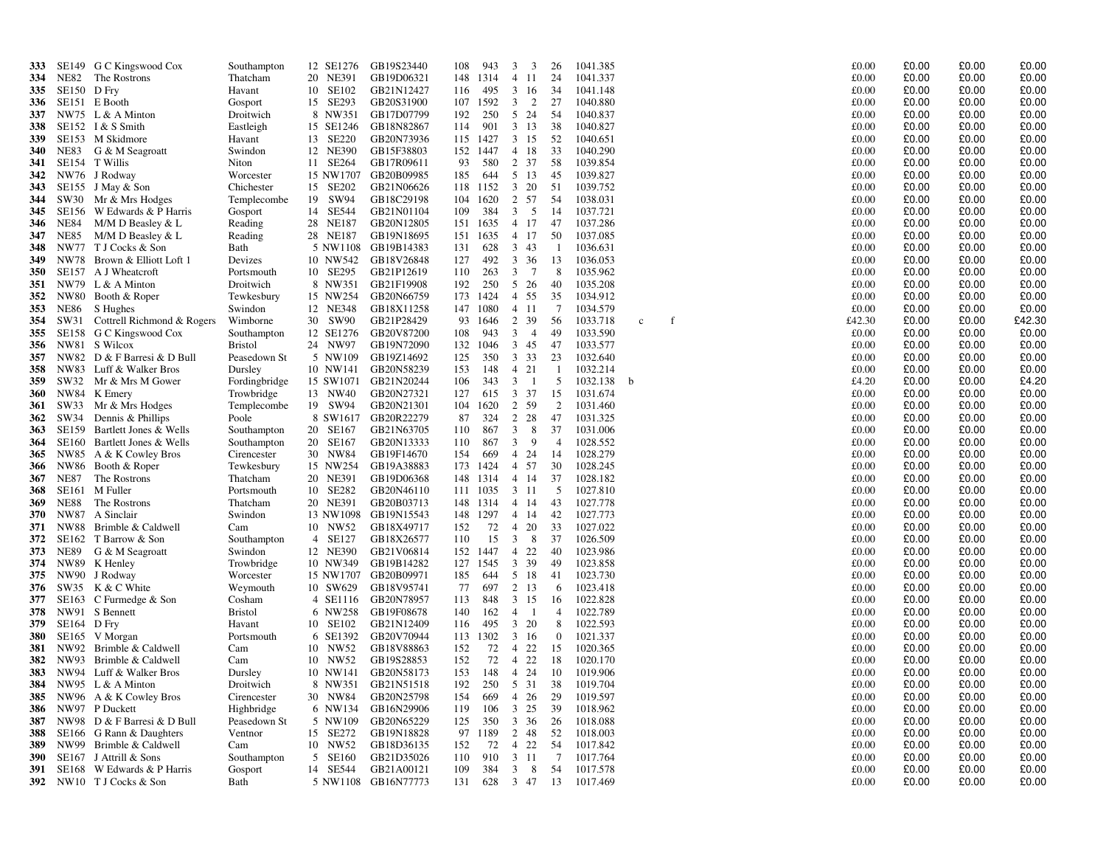| 333        |                     | SE149 G C Kingswood Cox                | Southampton            | 12 SE1276            | GB19S23440               | 108        | 943          | 3<br>3                           | 26              | 1041.385             |             |  | £0.00          | £0.00          | £0.00          | £0.00          |
|------------|---------------------|----------------------------------------|------------------------|----------------------|--------------------------|------------|--------------|----------------------------------|-----------------|----------------------|-------------|--|----------------|----------------|----------------|----------------|
| 334        | NE82                | The Rostrons                           | Thatcham               | 20 NE391             | GB19D06321               | 148        | 1314         | $\overline{4}$<br>-11            | 24              | 1041.337             |             |  | £0.00          | £0.00          | £0.00          | £0.00          |
| 335        | SE150 D Fry         |                                        | Havant                 | 10 SE102             | GB21N12427               | 116        | 495          | 3<br>-16                         | 34              | 1041.148             |             |  | £0.00          | £0.00          | £0.00          | £0.00          |
| 336        |                     | SE151 E Booth                          | Gosport                | 15 SE293             | GB20S31900               | 107        | 1592         | 2<br>3                           | 27              | 1040.880             |             |  | £0.00          | £0.00          | £0.00          | £0.00          |
| 337        |                     | NW75 $L & A$ Minton                    | Droitwich              | 8 NW351              | GB17D07799               | 192        | 250          | 24<br>5                          | 54              | 1040.837             |             |  | £0.00          | £0.00          | £0.00          | £0.00          |
| 338        |                     | SE152 I & S Smith                      | Eastleigh              | 15 SE1246            | GB18N82867               | 114        | 901          | 3 13                             | 38              | 1040.827             |             |  | £0.00          | £0.00          | £0.00          | £0.00          |
| 339        |                     | SE153 M Skidmore                       | Havant                 | 13 SE220             | GB20N73936               |            | 115 1427     | $3 \t15$                         | 52              | 1040.651             |             |  | £0.00          | £0.00          | £0.00          | £0.00          |
| 340        | NE83                | G & M Seagroatt                        | Swindon                | 12 NE390             | GB15F38803               | 152        | 1447         | 18<br>$\overline{4}$             | 33              | 1040.290             |             |  | £0.00          | £0.00          | £0.00          | £0.00          |
| 341        | SE154               | T Willis                               | Niton                  | 11 SE264             | GB17R09611               | 93         | 580          | 37<br>2                          | -58             | 1039.854             |             |  | £0.00          | £0.00          | £0.00          | £0.00          |
| 342        |                     | NW76 J Rodway                          | Worcester              | 15 NW1707            | GB20B09985               | 185        | 644          | 5 13                             | 45              | 1039.827             |             |  | £0.00          | £0.00          | £0.00          | £0.00          |
| 343        |                     | SE155 J May & Son                      | Chichester             | 15 SE202             | GB21N06626               |            | 118 1152     | $\mathbf{3}$<br>20               | 51              | 1039.752             |             |  | £0.00          | £0.00          | £0.00          | £0.00          |
| 344        |                     | SW30 Mr & Mrs Hodges                   | Templecombe            | 19 SW94              | GB18C29198               | 104        | 1620         | 2<br>57                          | 54              | 1038.031             |             |  | £0.00          | £0.00          | £0.00          | £0.00          |
| 345        | SE156               | W Edwards & P Harris                   | Gosport                | 14 SE544             | GB21N01104               | 109        | 384          | 3<br>5                           | 14              | 1037.721             |             |  | £0.00          | £0.00          | £0.00          | £0.00          |
| 346        | <b>NE84</b>         | M/M D Beasley & L                      | Reading                | 28 NE187             | GB20N12805               | 151        | 1635         | 4 17                             | 47              | 1037.286             |             |  | £0.00          | £0.00          | £0.00          | £0.00          |
| 347        | <b>NE85</b>         | $M/M$ D Beasley & L<br>T J Cocks & Son | Reading                | 28 NE187<br>5 NW1108 | GB19N18695               | 151        | 1635         | 4 17<br>$\mathbf{3}$<br>43       | 50              | 1037.085             |             |  | £0.00<br>£0.00 | £0.00<br>£0.00 | £0.00<br>£0.00 | £0.00<br>£0.00 |
| 348<br>349 | NW77                | NW78 Brown & Elliott Loft 1            | Bath<br>Devizes        | 10 NW542             | GB19B14383<br>GB18V26848 | 131<br>127 | 628<br>492   | 3 36                             | -1<br>13        | 1036.631<br>1036.053 |             |  | £0.00          | £0.00          | £0.00          | £0.00          |
| 350        | SE157               | A J Wheatcroft                         | Portsmouth             | 10 SE295             | GB21P12619               | 110        | 263          | $7\phantom{.0}$<br>3             | 8               | 1035.962             |             |  | £0.00          | £0.00          | £0.00          | £0.00          |
| 351        | NW79                | $L & A$ Minton                         | Droitwich              | 8 NW351              | GB21F19908               | 192        | 250          | 5 26                             | 40              | 1035.208             |             |  | £0.00          | £0.00          | £0.00          | £0.00          |
| 352        | <b>NW80</b>         | Booth & Roper                          | Tewkesbury             | 15 NW254             | GB20N66759               | 173        | 1424         | 4 55                             | 35              | 1034.912             |             |  | £0.00          | £0.00          | £0.00          | £0.00          |
| 353        | NE86                | S Hughes                               | Swindon                | 12 NE348             | GB18X11258               | 147        | 1080         | $\overline{4}$<br>-11            | $\overline{7}$  | 1034.579             |             |  | £0.00          | £0.00          | £0.00          | £0.00          |
| 354        | SW31                | Cottrell Richmond & Rogers             | Wimborne               | 30 SW90              | GB21P28429               | 93         | 1646         | 2<br>39                          | 56              | 1033.718             | $\mathbf c$ |  | £42.30         | £0.00          | £0.00          | £42.30         |
| 355        | SE158               | G C Kingswood Cox                      | Southampton            | 12 SE1276            | GB20V87200               | 108        | 943          | $\mathbf{3}$<br>$\overline{4}$   | 49              | 1033.590             |             |  | £0.00          | £0.00          | £0.00          | £0.00          |
| 356        | NW81                | S Wilcox                               | <b>Bristol</b>         | 24 NW97              | GB19N72090               | 132        | 1046         | 345                              | 47              | 1033.577             |             |  | £0.00          | £0.00          | £0.00          | £0.00          |
| 357        |                     | NW82 D & F Barresi & D Bull            | Peasedown St           | 5 NW109              | GB19Z14692               | 125        | 350          | 3 3 3                            | 23              | 1032.640             |             |  | £0.00          | £0.00          | £0.00          | £0.00          |
| 358        |                     | NW83 Luff & Walker Bros                | Dursley                | 10 NW141             | GB20N58239               | 153        | 148          | 4 21                             | -1              | 1032.214             |             |  | £0.00          | £0.00          | £0.00          | £0.00          |
| 359        | SW32                | Mr & Mrs M Gower                       | Fordingbridge          | 15 SW1071            | GB21N20244               | 106        | 343          | $\mathbf{3}$<br>$\overline{1}$   | 5               | 1032.138             | -h          |  | £4.20          | £0.00          | £0.00          | £4.20          |
| 360        | NW84                | K Emery                                | Trowbridge             | 13 NW40              | GB20N27321               | 127        | 615          | 37<br>$\mathbf{3}$               | 15              | 1031.674             |             |  | £0.00          | £0.00          | £0.00          | £0.00          |
| 361        | SW33                | Mr & Mrs Hodges                        | Templecombe            | 19 SW94              | GB20N21301               | 104        | 1620         | 2<br>59                          | 2               | 1031.460             |             |  | £0.00          | £0.00          | £0.00          | £0.00          |
| 362        | SW34                | Dennis & Phillips                      | Poole                  | 8 SW1617             | GB20R22279               | 87         | 324          | 2 28                             | 47              | 1031.325             |             |  | £0.00          | £0.00          | £0.00          | £0.00          |
| 363        | SE159               | Bartlett Jones & Wells                 | Southampton            | 20 SE167             | GB21N63705               | 110        | 867          | $\mathbf{3}$<br>8                | 37              | 1031.006             |             |  | £0.00          | £0.00          | £0.00          | £0.00          |
| 364        | SE160               | Bartlett Jones & Wells                 | Southampton            | 20 SE167             | GB20N13333               | 110        | 867          | $\mathbf{3}$<br>9                | $\overline{4}$  | 1028.552             |             |  | £0.00          | £0.00          | £0.00          | £0.00          |
| 365        |                     | NW85 A & K Cowley Bros                 | Cirencester            | 30 NW84              | GB19F14670               | 154        | 669          | $\overline{4}$<br>24             | 14              | 1028.279             |             |  | £0.00<br>£0.00 | £0.00<br>£0.00 | £0.00<br>£0.00 | £0.00          |
| 366<br>367 | NW86<br><b>NE87</b> | Booth & Roper<br>The Rostrons          | Tewkesbury<br>Thatcham | 15 NW254<br>20 NE391 | GB19A38883<br>GB19D06368 | 173<br>148 | 1424<br>1314 | 4 57<br>4 14                     | 30<br>37        | 1028.245<br>1028.182 |             |  | £0.00          | £0.00          | £0.00          | £0.00<br>£0.00 |
| 368        |                     | SE161 M Fuller                         | Portsmouth             | 10 SE282             | GB20N46110               |            | 111 1035     | 3 11                             | 5               | 1027.810             |             |  | £0.00          | £0.00          | £0.00          | £0.00          |
| 369        | <b>NE88</b>         | The Rostrons                           | Thatcham               | 20 NE391             | GB20B03713               | 148        | 1314         | $\overline{4}$<br>-14            | 43              | 1027.778             |             |  | £0.00          | £0.00          | £0.00          | £0.00          |
| 370        |                     | NW87 A Sinclair                        | Swindon                | 13 NW1098            | GB19N15543               | 148        | 1297         | 14<br>$\overline{4}$             | 42              | 1027.773             |             |  | £0.00          | £0.00          | £0.00          | £0.00          |
| 371        | <b>NW88</b>         | Brimble & Caldwell                     | Cam                    | 10 NW52              | GB18X49717               | 152        | 72           | 20<br>$\overline{4}$             | 33              | 1027.022             |             |  | £0.00          | £0.00          | £0.00          | £0.00          |
| 372        | SE162               | T Barrow & Son                         | Southampton            | 4 SE127              | GB18X26577               | 110        | 15           | 3<br>8                           | 37              | 1026.509             |             |  | £0.00          | £0.00          | £0.00          | £0.00          |
| 373        | NE89                | G & M Seagroatt                        | Swindon                | 12 NE390             | GB21V06814               | 152        | 1447         | 22<br>$\overline{4}$             | 40              | 1023.986             |             |  | £0.00          | £0.00          | £0.00          | £0.00          |
| 374        |                     | NW89 K Henley                          | Trowbridge             | 10 NW349             | GB19B14282               | 127        | 1545         | 3 39                             | 49              | 1023.858             |             |  | £0.00          | £0.00          | £0.00          | £0.00          |
| 375        | NW90                | J Rodway                               | Worcester              | 15 NW1707            | GB20B09971               | 185        | 644          | 5 18                             | -41             | 1023.730             |             |  | £0.00          | £0.00          | £0.00          | £0.00          |
| 376        | SW35                | K & C White                            | Weymouth               | 10 SW629             | GB18V95741               | 77         | 697          | 2 13                             | 6               | 1023.418             |             |  | £0.00          | £0.00          | £0.00          | £0.00          |
| 377        | SE163               | C Furmedge & Son                       | Cosham                 | 4 SE1116             | GB20N78957               | 113        | 848          | 3 15                             | 16              | 1022.828             |             |  | £0.00          | £0.00          | £0.00          | £0.00          |
| 378        | NW91                | S Bennett                              | <b>Bristol</b>         | 6 NW258              | GB19F08678               | 140        | 162          | $\overline{4}$<br>- 1            | $\overline{4}$  | 1022.789             |             |  | £0.00          | £0.00          | £0.00          | £0.00          |
| 379        | SE164               | D Fry                                  | Havant                 | 10 SE102             | GB21N12409               | 116        | 495          | $\mathbf{3}$<br>20               | 8               | 1022.593             |             |  | £0.00          | £0.00          | £0.00          | £0.00          |
| 380        | SE165               | V Morgan                               | Portsmouth             | 6 SE1392             | GB20V70944               | 113        | 1302         | 3 16                             | $\mathbf{0}$    | 1021.337             |             |  | £0.00          | £0.00          | £0.00          | £0.00          |
| 381        | NW92                | Brimble & Caldwell                     | Cam                    | 10 NW52              | GB18V88863               | 152        | 72           | 22<br>$\overline{4}$<br>22       | 15              | 1020.365             |             |  | £0.00          | £0.00          | £0.00          | £0.00          |
| 382<br>383 | NW93                | Brimble & Caldwell                     | Cam                    | 10 NW52              | GB19S28853               | 152        | 72<br>148    | $\overline{4}$<br>$\overline{4}$ | 18              | 1020.170             |             |  | £0.00<br>£0.00 | £0.00<br>£0.00 | £0.00<br>£0.00 | £0.00<br>£0.00 |
| 384        | NW95                | NW94 Luff & Walker Bros                | Dursley<br>Droitwich   | 10 NW141<br>8 NW351  | GB20N58173<br>GB21N51518 | 153<br>192 | 250          | 24<br>5 31                       | 10<br>38        | 1019.906<br>1019.704 |             |  | £0.00          | £0.00          | £0.00          | £0.00          |
| 385        |                     | L & A Minton<br>NW96 A & K Cowley Bros | Cirencester            | 30 NW84              | GB20N25798               | 154        | 669          | 26<br>$\overline{4}$             | 29              | 1019.597             |             |  | £0.00          | £0.00          | £0.00          | £0.00          |
| 386        | NW97                | P Duckett                              | Highbridge             | 6 NW134              | GB16N29906               | 119        | 106          | 25<br>$\mathbf{3}$               | 39              | 1018.962             |             |  | £0.00          | £0.00          | £0.00          | £0.00          |
| 387        |                     | NW98 D & F Barresi & D Bull            | Peasedown St           | 5 NW109              | GB20N65229               | 125        | 350          | 3 36                             | 26              | 1018.088             |             |  | £0.00          | £0.00          | £0.00          | £0.00          |
| 388        | SE166               | G Rann & Daughters                     | Ventnor                | 15 SE272             | GB19N18828               | 97         | 1189         | 2<br>48                          | 52              | 1018.003             |             |  | £0.00          | £0.00          | £0.00          | £0.00          |
| 389        | NW99                | Brimble & Caldwell                     | Cam                    | 10 NW52              | GB18D36135               | 152        | 72           | 22<br>$\overline{4}$             | 54              | 1017.842             |             |  | £0.00          | £0.00          | £0.00          | £0.00          |
| 390        | SE167               | J Attrill & Sons                       | Southampton            | 5 SE160              | GB21D35026               | 110        | 910          | $\mathbf{3}$<br>-11              | $7\phantom{.0}$ | 1017.764             |             |  | £0.00          | £0.00          | £0.00          | £0.00          |
| 391        |                     | SE168 W Edwards & P Harris             | Gosport                | 14 SE544             | GB21A00121               | 109        | 384          | 8<br>3                           | 54              | 1017.578             |             |  | £0.00          | £0.00          | £0.00          | £0.00          |
| 392        |                     | NW10 T J Cocks & Son                   | Bath                   | 5 NW1108             | GB16N77773               | 131        | 628          | 3 47                             | 13              | 1017.469             |             |  | £0.00          | £0.00          | £0.00          | £0.00          |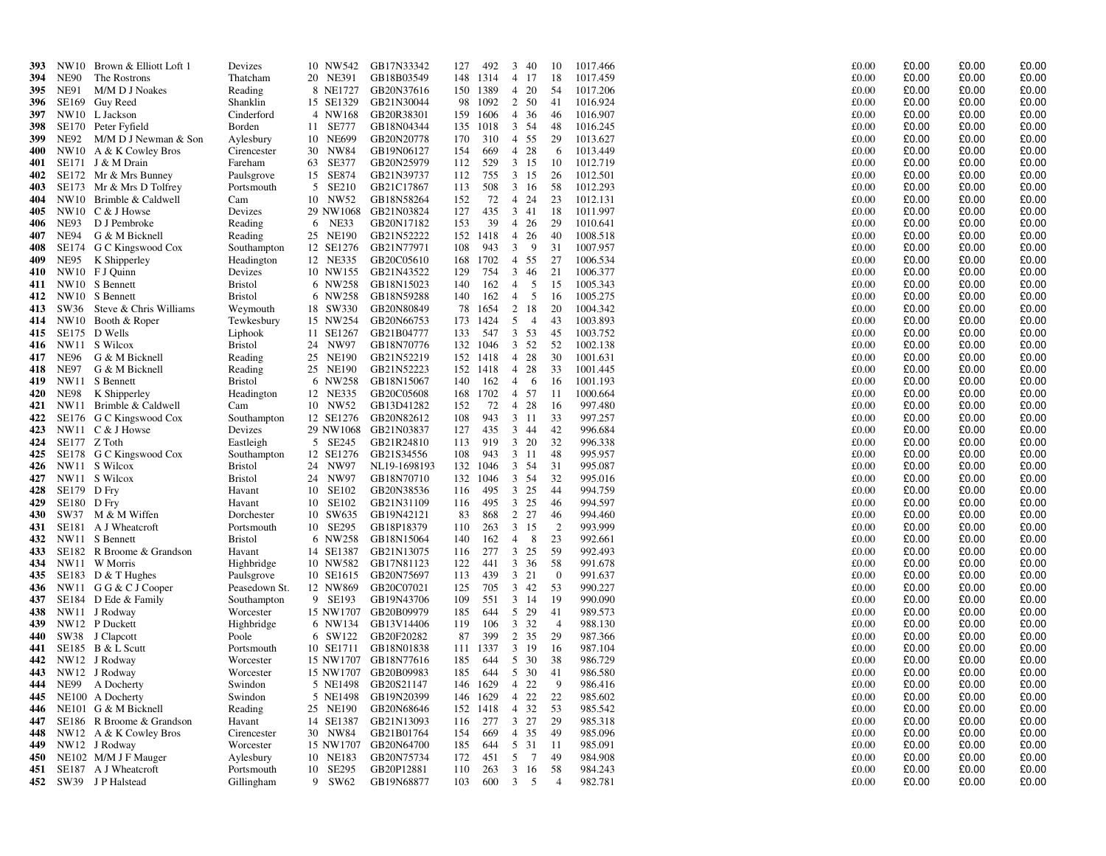| 393 |              | NW10 Brown & Elliott Loft 1 | Devizes        |           | 10 NW542 GB17N33342  | 127 | 492           |                         | 3 40      | -10            | 1017.466 | £0.00 | £0.00 | £0.00 | £0.00 |
|-----|--------------|-----------------------------|----------------|-----------|----------------------|-----|---------------|-------------------------|-----------|----------------|----------|-------|-------|-------|-------|
| 394 | NE90         | The Rostrons                | Thatcham       | 20 NE391  | GB18B03549           |     | 148 1314      |                         | 4 17      | 18             | 1017.459 | £0.00 | £0.00 | £0.00 | £0.00 |
| 395 | NE91         | M/M D J Noakes              | Reading        | 8 NE1727  | GB20N37616           |     | 150 1389      |                         | 4 20      | -54            | 1017.206 | £0.00 | £0.00 | £0.00 | £0.00 |
| 396 |              | SE169 Guy Reed              | Shanklin       | 15 SE1329 | GB21N30044           |     | 98 1092       | 2 50                    |           | -41            | 1016.924 | £0.00 | £0.00 | £0.00 | £0.00 |
| 397 |              | NW10 L Jackson              | Cinderford     | 4 NW168   | GB20R38301           | 159 | 1606          |                         | 4 36      | 46             | 1016.907 | £0.00 | £0.00 | £0.00 | £0.00 |
| 398 |              | SE170 Peter Fyfield         | Borden         | 11 SE777  | GB18N04344           | 135 | 1018          |                         | 3 54      | 48             | 1016.245 | £0.00 | £0.00 | £0.00 | £0.00 |
| 399 | NE92         | M/M D J Newman & Son        | Aylesbury      | 10 NE699  | GB20N20778           | 170 | 310           |                         | 4 55      | 29             | 1013.627 | £0.00 | £0.00 | £0.00 | £0.00 |
| 400 |              | NW10 A & K Cowley Bros      | Cirencester    | 30 NW84   | GB19N06127           | 154 | 669           |                         | 4 28      | -6             | 1013.449 | £0.00 | £0.00 | £0.00 | £0.00 |
| 401 |              | SE171 J & M Drain           | Fareham        | 63 SE377  | GB20N25979           | 112 | 529           |                         | $3 \t15$  | -10            | 1012.719 | £0.00 | £0.00 | £0.00 | £0.00 |
| 402 |              | SE172 Mr & Mrs Bunney       | Paulsgrove     | 15 SE874  | GB21N39737           | 112 | 755           |                         | 3 15      | 26             | 1012.501 | £0.00 | £0.00 | £0.00 | £0.00 |
| 403 |              | SE173 Mr & Mrs D Tolfrey    | Portsmouth     | 5 SE210   | GB21C17867           | 113 | 508           | 3 16                    |           | 58             | 1012.293 | £0.00 | £0.00 | £0.00 | £0.00 |
| 404 |              | NW10 Brimble & Caldwell     | Cam            | 10 NW52   | GB18N58264           | 152 | 72            |                         | 4 24      | 23             | 1012.131 | £0.00 | £0.00 | £0.00 | £0.00 |
| 405 |              | NW10 C & J Howse            | Devizes        |           | 29 NW1068 GB21N03824 | 127 | 435           | 3 41                    |           | -18            | 1011.997 | £0.00 | £0.00 | £0.00 | £0.00 |
| 406 | NE93         | D J Pembroke                | Reading        | 6 NE33    | GB20N17182           | 153 | 39            |                         | 4 26      | 29             | 1010.641 | £0.00 | £0.00 | £0.00 | £0.00 |
| 407 | NE94         | G & M Bicknell              | Reading        | 25 NE190  | GB21N52222           |     | 152 1418      | 4 26                    |           | 40             | 1008.518 | £0.00 | £0.00 | £0.00 | £0.00 |
| 408 |              | SE174 G C Kingswood Cox     | Southampton    | 12 SE1276 | GB21N77971           | 108 | 943           | $\overline{\mathbf{3}}$ | 9         | 31             | 1007.957 | £0.00 | £0.00 | £0.00 | £0.00 |
| 409 | NE95         | K Shipperley                | Headington     | 12 NE335  | GB20C05610           | 168 | 1702          | 4 55                    |           | 27             | 1006.534 | £0.00 | £0.00 | £0.00 | £0.00 |
| 410 |              | NW10 FJ Quinn               | Devizes        |           | 10 NW155 GB21N43522  | 129 | 754           |                         | 3 46      | 21             | 1006.377 | £0.00 | £0.00 | £0.00 | £0.00 |
| 411 |              | NW10 S Bennett              | <b>Bristol</b> | 6 NW258   | GB18N15023           | 140 | 162           | $\overline{4}$          | 5         | 15             | 1005.343 | £0.00 | £0.00 | £0.00 | £0.00 |
| 412 |              | NW10 S Bennett              | <b>Bristol</b> | 6 NW258   | GB18N59288           | 140 | 162           | $\overline{4}$          | 5         | -16            | 1005.275 | £0.00 | £0.00 | £0.00 | £0.00 |
| 413 | SW36         | Steve & Chris Williams      | Weymouth       | 18 SW330  | GB20N80849           | 78  | 1654          |                         | 2 18      | 20             | 1004.342 | £0.00 | £0.00 | £0.00 | £0.00 |
| 414 |              | NW10 Booth & Roper          | Tewkesbury     | 15 NW254  | GB20N66753           |     | 173 1424      |                         | 5 4       | 43             | 1003.893 | £0.00 | £0.00 | £0.00 | £0.00 |
| 415 |              | SE175 D Wells               | Liphook        | 11 SE1267 | GB21B04777           | 133 | 547           |                         | $3 \t 53$ | 45             | 1003.752 | £0.00 | £0.00 | £0.00 | £0.00 |
| 416 |              | NW11 S Wilcox               | <b>Bristol</b> | 24 NW97   | GB18N70776           |     | 132 1046      | 3 52                    |           | 52             | 1002.138 | £0.00 | £0.00 | £0.00 | £0.00 |
| 417 | NE96         | G & M Bicknell              | Reading        | 25 NE190  | GB21N52219           |     | 152 1418      |                         | 4 28      | 30             | 1001.631 | £0.00 | £0.00 | £0.00 | £0.00 |
| 418 | NE97         | G & M Bicknell              | Reading        | 25 NE190  | GB21N52223           |     | 152 1418      | 4                       | 28        | 33             | 1001.445 | £0.00 | £0.00 | £0.00 | £0.00 |
| 419 |              | NW11 S Bennett              | <b>Bristol</b> | 6 NW258   | GB18N15067           | 140 | 162           | $\overline{4}$          | 6         | -16            | 1001.193 | £0.00 | £0.00 | £0.00 | £0.00 |
| 420 | NE98         | K Shipperley                | Headington     | 12 NE335  | GB20C05608           |     | 168 1702      |                         | 4 57      | -11            | 1000.664 | £0.00 | £0.00 | £0.00 | £0.00 |
| 421 |              | NW11 Brimble & Caldwell     | Cam            | 10 NW52   | GB13D41282           | 152 | 72            |                         | 4 28      | -16            | 997.480  | £0.00 | £0.00 | £0.00 | £0.00 |
| 422 |              | SE176 G C Kingswood Cox     | Southampton    | 12 SE1276 | GB20N82612           | 108 | 943           |                         | 3 11      | 33             | 997.257  | £0.00 | £0.00 | £0.00 | £0.00 |
| 423 |              | NW11 $C & J$ Howse          | Devizes        |           | 29 NW1068 GB21N03837 | 127 | 435           |                         | 3 44      | 42             | 996.684  | £0.00 | £0.00 | £0.00 | £0.00 |
| 424 | SE177 Z Toth |                             | Eastleigh      | 5 SE245   | GB21R24810           | 113 | 919           |                         | 3 20      | 32             | 996.338  | £0.00 | £0.00 | £0.00 | £0.00 |
| 425 |              | SE178 G C Kingswood Cox     | Southampton    | 12 SE1276 | GB21S34556           | 108 | 943           |                         | 3 11      | 48             | 995.957  | £0.00 | £0.00 | £0.00 | £0.00 |
| 426 |              | NW11 S Wilcox               | <b>Bristol</b> | 24 NW97   | NL19-1698193         | 132 | 1046          |                         | 3 54      | 31             | 995.087  | £0.00 | £0.00 | £0.00 | £0.00 |
| 427 |              | NW11 S Wilcox               | <b>Bristol</b> | 24 NW97   | GB18N70710           |     | 132 1046      |                         | 3 54      | 32             | 995.016  | £0.00 | £0.00 | £0.00 | £0.00 |
| 428 | SE179 D Fry  |                             | Havant         | 10 SE102  | GB20N38536           | 116 | 495           | 3 25                    |           | 44             | 994.759  | £0.00 | £0.00 | £0.00 | £0.00 |
| 429 | SE180        | D Fry                       | Havant         | 10 SE102  | GB21N31109           | 116 | 495           |                         | 3 25      | 46             | 994.597  | £0.00 | £0.00 | £0.00 | £0.00 |
| 430 |              | SW37 M & M Wiffen           | Dorchester     | 10 SW635  | GB19N42121           | 83  | 868           |                         | 2 2 7     | 46             | 994.460  | £0.00 | £0.00 | £0.00 | £0.00 |
| 431 |              | SE181 A J Wheatcroft        | Portsmouth     | 10 SE295  | GB18P18379           | 110 | 263           |                         | 3 15      | 2              | 993.999  | £0.00 | £0.00 | £0.00 | £0.00 |
| 432 |              | NW11 S Bennett              | <b>Bristol</b> | 6 NW258   | GB18N15064           | 140 | 162           | $\overline{4}$          | - 8       | 23             | 992.661  | £0.00 | £0.00 | £0.00 | £0.00 |
| 433 |              | SE182 R Broome & Grandson   | Havant         | 14 SE1387 | GB21N13075           | 116 | 277           |                         | $3\;\;25$ | 59             | 992.493  | £0.00 | £0.00 | £0.00 | £0.00 |
| 434 |              | NW11 W Morris               | Highbridge     | 10 NW582  | GB17N81123           | 122 | 441           |                         | $3 \t36$  | 58             | 991.678  | £0.00 | £0.00 | £0.00 | £0.00 |
| 435 |              | SE183 D $<$ T Hughes        | Paulsgrove     | 10 SE1615 | GB20N75697           | 113 | 439           | 3 21                    |           | $\overline{0}$ | 991.637  | £0.00 | £0.00 | £0.00 | £0.00 |
| 436 |              | NW11 G G & C J Cooper       | Peasedown St.  | 12 NW869  | GB20C07021           | 125 | 705           |                         | 3 42      | 53             | 990.227  | £0.00 | £0.00 | £0.00 | £0.00 |
| 437 |              | SE184 D Ede & Family        | Southampton    | 9 SE193   | GB19N43706           | 109 | 551           | 3 14                    |           | -19            | 990.090  | £0.00 | £0.00 | £0.00 | £0.00 |
| 438 |              | NW11 J Rodway               | Worcester      |           | 15 NW1707 GB20B09979 | 185 | 644           |                         | 5 29      | 41             | 989.573  | £0.00 | £0.00 | £0.00 | £0.00 |
| 439 |              | NW12 P Duckett              | Highbridge     |           | 6 NW134 GB13V14406   | 119 | 106           | 3 3 2                   |           | $\overline{4}$ | 988.130  | £0.00 | £0.00 | £0.00 | £0.00 |
| 440 |              | SW38 J Clapcott             | Poole          | 6 SW122   | GB20F20282           | 87  | 399           |                         | 2 35      | 29             | 987.366  | £0.00 | £0.00 | £0.00 | £0.00 |
| 441 |              | SE185 B & L Scutt           | Portsmouth     |           | 10 SE1711 GB18N01838 |     | 111 1337      |                         | 3 19      | -16            | 987.104  | £0.00 | £0.00 | £0.00 | £0.00 |
| 442 |              | NW12 J Rodway               | Worcester      |           | 15 NW1707 GB18N77616 | 185 | 644           |                         | 5 30      | 38             | 986.729  | £0.00 | £0.00 | £0.00 | £0.00 |
|     |              | 443 NW12 J Rodway           | Worcester      |           | 15 NW1707 GB20B09983 | 185 | 644           | 5 30                    |           | -41            | 986.580  | £0.00 | £0.00 | £0.00 | £0.00 |
|     |              | 444 NE99 A Docherty         | Swindon        |           | 5 NE1498 GB20S21147  |     | 146 1629 4 22 |                         |           | 9              | 986.416  | £0.00 | £0.00 | £0.00 | £0.00 |
| 445 |              | NE100 A Docherty            | Swindon        |           | 5 NE1498 GB19N20399  |     | 146 1629 4 22 |                         |           | 22             | 985.602  | £0.00 | £0.00 | £0.00 | £0.00 |
| 446 |              | NE101 G & M Bicknell        | Reading        | 25 NE190  | GB20N68646           |     | 152 1418      | 4 32                    |           | 53             | 985.542  | £0.00 | £0.00 | £0.00 | £0.00 |
| 447 |              | SE186 R Broome & Grandson   | Havant         | 14 SE1387 | GB21N13093           | 116 | 277           | 3 27                    |           | 29             | 985.318  | £0.00 | £0.00 | £0.00 | £0.00 |
| 448 |              | NW12 A & K Cowley Bros      | Cirencester    | 30 NW84   | GB21B01764           | 154 | 669           | 4 35                    |           | -49            | 985.096  | £0.00 | £0.00 | £0.00 | £0.00 |
| 449 |              | NW12 J Rodway               | Worcester      |           | 15 NW1707 GB20N64700 | 185 | 644           |                         | 5 31      | - 11           | 985.091  | £0.00 | £0.00 | £0.00 | £0.00 |
| 450 |              | NE102 M/M J F Mauger        | Aylesbury      | 10 NE183  | GB20N75734           | 172 | 451           |                         | 5 7       | 49             | 984.908  | £0.00 | £0.00 | £0.00 | £0.00 |
| 451 |              | SE187 A J Wheatcroft        | Portsmouth     | 10 SE295  | GB20P12881           | 110 | 263           |                         | 3 16      | 58             | 984.243  | £0.00 | £0.00 | £0.00 | £0.00 |
|     |              | 452 SW39 JP Halstead        | Gillingham     | 9 SW62    | GB19N68877           | 103 | 600 3 5       |                         |           | $\overline{4}$ | 982.781  | £0.00 | £0.00 | £0.00 | £0.00 |
|     |              |                             |                |           |                      |     |               |                         |           |                |          |       |       |       |       |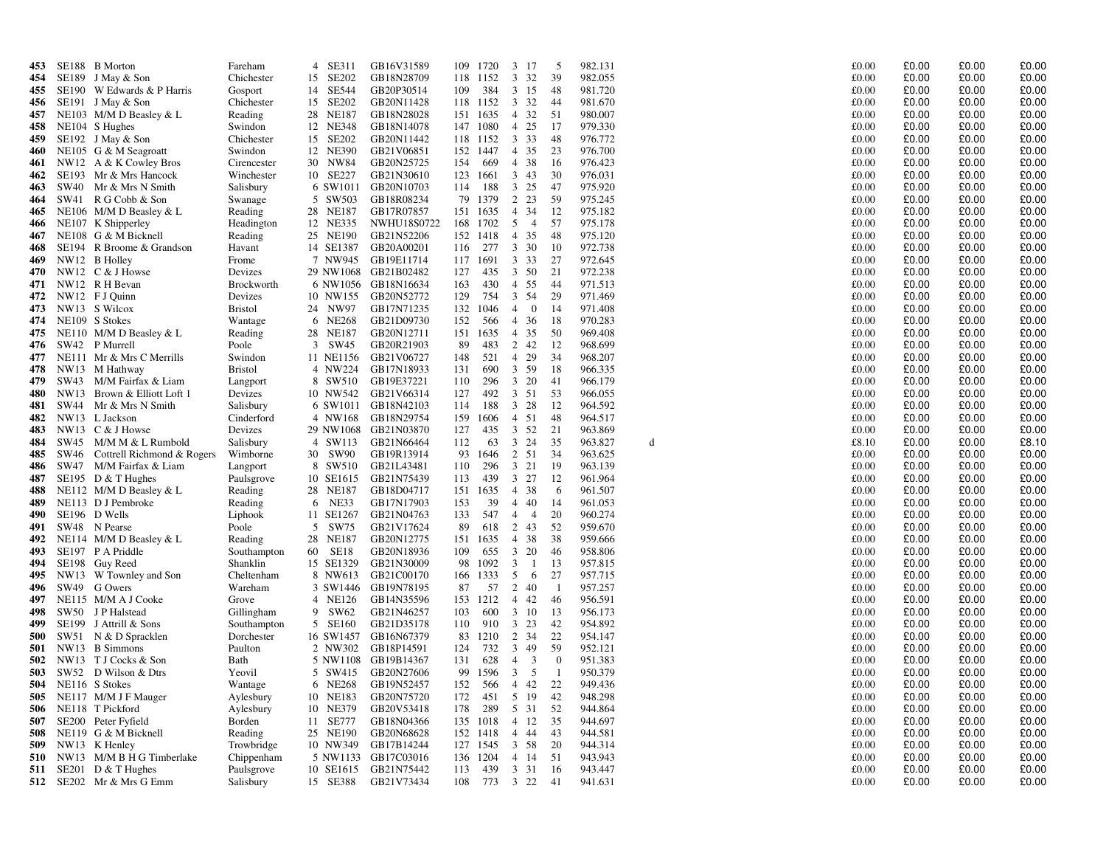| 453        |      | SE188 B Morton                                       | Fareham                  | 4 SE311   | GB16V31589                                 | 109        | 1720                           | 3 17           |                         | 5            | 982.131            |   | £0.00          | £0.00          | £0.00          | £0.00          |
|------------|------|------------------------------------------------------|--------------------------|-----------|--------------------------------------------|------------|--------------------------------|----------------|-------------------------|--------------|--------------------|---|----------------|----------------|----------------|----------------|
| 454        |      | SE189 J May & Son                                    | Chichester               | 15 SE202  | GB18N28709                                 |            | 118 1152                       | 3 3 2          |                         | 39           | 982.055            |   | £0.00          | £0.00          | £0.00          | £0.00          |
| 455        |      | SE190 W Edwards & P Harris                           | Gosport                  | 14 SE544  | GB20P30514                                 | 109        | 384                            | 3 15           |                         | -48          | 981.720            |   | £0.00          | £0.00          | £0.00          | £0.00          |
| 456        |      | SE191 J May & Son                                    | Chichester               | 15 SE202  | GB20N11428                                 |            | 118 1152                       | 3 32           |                         | -44          | 981.670            |   | £0.00          | £0.00          | £0.00          | £0.00          |
| 457        |      | NE103 M/M D Beasley $& L$                            | Reading                  | 28 NE187  | GB18N28028                                 |            | 151 1635                       | 4 32           |                         | -51          | 980.007            |   | £0.00          | £0.00          | £0.00          | £0.00          |
| 458        |      | NE104 S Hughes                                       | Swindon                  | 12 NE348  | GB18N14078                                 |            | 147 1080                       | 4 25           |                         | -17          | 979.330            |   | £0.00          | £0.00          | £0.00          | £0.00          |
| 459        |      | SE192 J May & Son                                    | Chichester               | 15 SE202  | GB20N11442                                 |            | 118 1152                       | 3 3 3          |                         | 48           | 976.772            |   | £0.00          | £0.00          | £0.00          | £0.00          |
| 460        |      | NE105 G & M Seagroatt                                | Swindon                  | 12 NE390  | GB21V06851                                 |            | 152 1447                       | 4 35           |                         | 23           | 976.700            |   | £0.00          | £0.00          | £0.00          | £0.00          |
| 461        |      | NW12 A & K Cowley Bros                               | Cirencester              | 30 NW84   | GB20N25725                                 | 154        | 669                            | 4 38           |                         | -16          | 976.423            |   | £0.00          | £0.00          | £0.00          | £0.00          |
| 462        |      | SE193 Mr & Mrs Hancock                               | Winchester               | 10 SE227  | GB21N30610                                 |            | 123 1661                       | 3 43           |                         | 30           | 976.031            |   | £0.00          | £0.00          | £0.00          | £0.00          |
| 463        |      | SW40 Mr & Mrs N Smith                                | Salisbury                |           | 6 SW1011 GB20N10703                        | 114        | 188                            | 3 25           |                         | -47          | 975.920            |   | £0.00          | £0.00          | £0.00          | £0.00          |
| 464        |      | SW41 R G Cobb & Son                                  | Swanage                  | 5 SW503   | GB18R08234                                 | 79         | 1379                           | 2 2 3          |                         | -59          | 975.245            |   | £0.00          | £0.00          | £0.00          | £0.00          |
| 465        |      | NE106 M/M D Beasley $&$ L                            | Reading                  | 28 NE187  | GB17R07857                                 |            | 151 1635                       | 4 34           |                         | -12          | 975.182            |   | £0.00          | £0.00          | £0.00          | £0.00          |
| 466        |      | NE107 K Shipperley                                   | Headington               | 12 NE335  | <b>NWHU18S0722</b>                         |            | 168 1702                       | 5              | $\overline{4}$          | 57           | 975.178            |   | £0.00          | £0.00          | £0.00          | £0.00          |
| 467        |      | NE108 G & M Bicknell                                 | Reading                  | 25 NE190  | GB21N52206                                 |            | 152 1418                       | 4 35           |                         | -48          | 975.120            |   | £0.00          | £0.00          | £0.00          | £0.00          |
| 468        |      | SE194 R Broome & Grandson                            | Havant                   | 14 SE1387 | GB20A00201                                 | 116        | 277                            |                | 3 30                    | -10          | 972.738            |   | £0.00          | £0.00          | £0.00          | £0.00          |
| 469        |      | NW12 B Holley                                        | Frome                    |           | 7 NW945 GB19E11714                         |            | 117 1691                       | 3 3 3          |                         | 27           | 972.645            |   | £0.00          | £0.00          | £0.00          | £0.00          |
| 470        |      | NW12 $C & J$ Howse                                   | Devizes                  |           | 29 NW1068 GB21B02482                       | 127        | 435                            | 3 50           |                         | 21           | 972.238            |   | £0.00          | £0.00          | £0.00          | £0.00          |
| 471        |      | NW12 R H Bevan                                       | Brockworth               |           | 6 NW1056 GB18N16634                        | 163        | 430                            | 4 55           |                         | -44          | 971.513            |   | £0.00          | £0.00          | £0.00          | £0.00          |
| 472        |      | NW12 FJ Quinn                                        | Devizes                  |           | 10 NW155 GB20N52772                        | 129        | 754                            | 3 54           |                         | 29           | 971.469            |   | £0.00          | £0.00          | £0.00          | £0.00          |
| 473        |      | NW13 S Wilcox                                        | <b>Bristol</b>           | 24 NW97   | GB17N71235                                 | 132        | 1046                           | $\overline{4}$ | $\overline{0}$          | -14          | 971.408            |   | £0.00          | £0.00          | £0.00          | £0.00          |
| 474        |      | NE109 S Stokes                                       | Wantage                  | 6 NE268   | GB21D09730                                 | 152        | 566                            | 4 36           |                         | -18          | 970.283            |   | £0.00          | £0.00          | £0.00          | £0.00          |
| 475        |      | NE110 M/M D Beasley & L                              | Reading                  | 28 NE187  | GB20N12711                                 |            | 151 1635                       | 4 35           |                         | 50           | 969.408            |   | £0.00          | £0.00          | £0.00          | £0.00          |
| 476        |      | SW42 P Murrell                                       | Poole                    | 3 SW45    | GB20R21903                                 | 89         | 483                            | 2 42           |                         | -12          | 968.699            |   | £0.00          | £0.00          | £0.00          | £0.00          |
| 477        |      | NE111 Mr & Mrs C Merrills                            | Swindon                  |           | 11 NE1156 GB21V06727                       | 148        | 521                            |                | 4 29                    | 34           | 968.207            |   | £0.00          | £0.00          | £0.00          | £0.00          |
| 478        |      | NW13 M Hathway                                       | <b>Bristol</b>           | 4 NW224   | GB17N18933                                 | 131        | 690                            | 3 59           |                         | -18          | 966.335            |   | £0.00          | £0.00          | £0.00          | £0.00          |
| 479        | SW43 | M/M Fairfax & Liam                                   | Langport                 | 8 SW510   | GB19E37221                                 | 110        | 296                            |                | 3 20                    | -41          | 966.179            |   | £0.00          | £0.00          | £0.00          | £0.00          |
| 480        |      | NW13 Brown & Elliott Loft 1<br>SW44 Mr & Mrs N Smith | Devizes                  |           | 10 NW542 GB21V66314<br>6 SW1011 GB18N42103 | 127        | 492<br>188                     | 3 51           | $3 \t28$                | - 53<br>-12  | 966.055<br>964.592 |   | £0.00<br>£0.00 | £0.00<br>£0.00 | £0.00<br>£0.00 | £0.00<br>£0.00 |
| 481<br>482 |      | NW13 L Jackson                                       | Salisbury<br>Cinderford  | 4 NW168   | GB18N29754                                 | 114<br>159 | 1606                           | 4 51           |                         | 48           | 964.517            |   | £0.00          | £0.00          | £0.00          | £0.00          |
| 483        |      | NW13 C & J Howse                                     | Devizes                  |           | 29 NW1068 GB21N03870                       | 127        | 435                            | 3 52           |                         | 21           | 963.869            |   | £0.00          | £0.00          | £0.00          | £0.00          |
| 484        |      | SW45 M/M M & L Rumbold                               | Salisbury                | 4 SW113   | GB21N66464                                 | 112        | 63                             | $\mathbf{3}$   | 24                      | 35           | 963.827            | d | £8.10          | £0.00          | £0.00          | £8.10          |
| 485        |      | SW46 Cottrell Richmond & Rogers                      | Wimborne                 | 30 SW90   | GB19R13914                                 | 93         | 1646                           | 2 51           |                         | -34          | 963.625            |   | £0.00          | £0.00          | £0.00          | £0.00          |
| 486        |      | SW47 M/M Fairfax & Liam                              | Langport                 | 8 SW510   | GB21L43481                                 | 110        | 296                            |                | $3 \t21$                | 19           | 963.139            |   | £0.00          | £0.00          | £0.00          | £0.00          |
| 487        |      | SE195 $D & T$ Hughes                                 | Paulsgrove               | 10 SE1615 | GB21N75439                                 | 113        | 439                            | 3 27           |                         | 12           | 961.964            |   | £0.00          | £0.00          | £0.00          | £0.00          |
| 488        |      | NE112 M/M D Beasley $& L$                            | Reading                  | 28 NE187  | GB18D04717                                 |            | 151 1635                       | 4 38           |                         | -6           | 961.507            |   | £0.00          | £0.00          | £0.00          | £0.00          |
| 489        |      | NE113 D J Pembroke                                   | Reading                  | 6 NE33    | GB17N17903                                 | 153        | 39                             | $\overline{4}$ | 40                      | 14           | 961.053            |   | £0.00          | £0.00          | £0.00          | £0.00          |
| 490        |      | SE196 D Wells                                        | Liphook                  | 11 SE1267 | GB21N04763                                 | 133        | 547                            | $\overline{4}$ | $\overline{4}$          | 20           | 960.274            |   | £0.00          | £0.00          | £0.00          | £0.00          |
| 491        |      | SW48 N Pearse                                        | Poole                    | 5 SW75    | GB21V17624                                 | 89         | 618                            | 2              | 43                      | 52           | 959.670            |   | £0.00          | £0.00          | £0.00          | £0.00          |
| 492        |      | NE114 M/M D Beasley $& L$                            | Reading                  | 28 NE187  | GB20N12775                                 |            | 151 1635                       | 4              | 38                      | 38           | 959.666            |   | £0.00          | £0.00          | £0.00          | £0.00          |
| 493        |      | SE197 P A Priddle                                    | Southampton              | 60 SE18   | GB20N18936                                 | 109        | 655                            | $\mathbf{3}$   | 20                      | -46          | 958.806            |   | £0.00          | £0.00          | £0.00          | £0.00          |
| 494        |      | SE198 Guy Reed                                       | Shanklin                 |           | 15 SE1329 GB21N30009                       | 98         | 1092                           | 3              | $\mathbf{1}$            | 13           | 957.815            |   | £0.00          | £0.00          | £0.00          | £0.00          |
| 495        |      | NW13 W Townley and Son                               | Cheltenham               | 8 NW613   | GB21C00170                                 |            | 166 1333                       | 5              | 6                       | 27           | 957.715            |   | £0.00          | £0.00          | £0.00          | £0.00          |
| 496        |      | SW49 G Owers                                         | Wareham                  |           | 3 SW1446 GB19N78195                        | 87         | 57                             | 2 40           |                         | - 1          | 957.257            |   | £0.00          | £0.00          | £0.00          | £0.00          |
| 497        |      | NE115 M/M A J Cooke                                  | Grove                    | 4 NE126   | GB14N35596                                 |            | 153 1212                       | 4 4 2          |                         | -46          | 956.591            |   | £0.00          | £0.00          | £0.00          | £0.00          |
| 498        |      | SW50 J P Halstead                                    | Gillingham               | 9 SW62    | GB21N46257                                 | 103        | 600                            | 3 10           |                         | 13           | 956.173            |   | £0.00          | £0.00          | £0.00          | £0.00          |
| 499        |      | SE199 J Attrill & Sons                               | Southampton              | 5 SE160   | GB21D35178                                 | 110        | 910                            | 3 23           |                         | -42          | 954.892            |   | £0.00          | £0.00          | £0.00          | £0.00          |
| 500        |      | SW51 N & D Spracklen                                 | Dorchester               | 16 SW1457 | GB16N67379                                 | 83         | 1210                           | 2              | 34                      | 22           | 954.147            |   | £0.00          | £0.00          | £0.00          | £0.00          |
| <b>501</b> |      | NW13 B Simmons                                       | Paulton                  | 2 NW302   | GB18P14591                                 | 124        | 732                            | 3 49           |                         | -59          | 952.121            |   | £0.00          | £0.00          | £0.00          | £0.00          |
| 502        |      | NW13 T J Cocks & Son                                 | Bath                     |           | 5 NW1108 GB19B14367                        | 131        | 628                            | 4              | $\overline{\mathbf{3}}$ | $\mathbf{0}$ | 951.383            |   | £0.00          | £0.00          | £0.00          | £0.00          |
| 503        |      | SW52 D Wilson & Dtrs                                 | Yeovil                   |           | 5 SW415 GB20N27606                         |            | 99 1596                        | $\mathbf{3}$   | 5                       |              | 950.379            |   | £0.00          | £0.00          | £0.00          | £0.00          |
|            |      | 504 NE116 S Stokes                                   | Wantage                  |           | 6 NE268 GB19N52457                         | 152        | 566 4 42                       |                |                         | 22           | 949.436            |   | £0.00          | £0.00          | £0.00          | £0.00          |
|            |      | 505 NE117 M/M J F Mauger                             | Aylesbury                |           | 10 NE183 GB20N75720                        | 172        | 451 5 19 42                    |                |                         |              | 948.298            |   | £0.00          | £0.00          | £0.00          | £0.00          |
|            |      | 506 NE118 T Pickford                                 | Aylesbury                | 10 NE379  | GB20V53418                                 | 178        | 289 5 31 52                    |                |                         |              | 944.864            |   | £0.00          | £0.00          | £0.00          | £0.00          |
|            |      | 507 SE200 Peter Fyfield                              | Borden                   | 11 SE777  | GB18N04366                                 |            | 135 1018 4 12                  |                |                         | 35           | 944.697            |   | £0.00          | £0.00          | £0.00          | £0.00          |
|            |      | 508 NE119 G & M Bicknell                             | Reading                  |           | 25 NE190 GB20N68628<br>10 NW349 GB17B14244 |            | 152 1418 4 44<br>127 1545 3 58 |                |                         | 43           | 944.581            |   | £0.00          | £0.00          | £0.00          | £0.00<br>£0.00 |
|            |      | 509 NW13 K Henley<br>510 NW13 M/M B H G Timberlake   | Trowbridge               |           | 5 NW1133 GB17C03016                        |            |                                |                |                         | -20<br>51    | 944.314<br>943.943 |   | £0.00<br>£0.00 | £0.00<br>£0.00 | £0.00<br>£0.00 | £0.00          |
|            |      | SE201 D $&$ T Hughes                                 | Chippenham<br>Paulsgrove |           | 10 SE1615 GB21N75442                       | 113        | 136 1204 4 14<br>439           |                | 3 31 16                 |              | 943.447            |   | £0.00          | £0.00          | £0.00          | £0.00          |
| 511        |      | 512 SE202 Mr & Mrs G Emm                             | Salisbury                |           | 15 SE388 GB21V73434                        |            | 108 773 3 22 41                |                |                         |              | 941.631            |   | £0.00          | £0.00          | £0.00          | £0.00          |
|            |      |                                                      |                          |           |                                            |            |                                |                |                         |              |                    |   |                |                |                |                |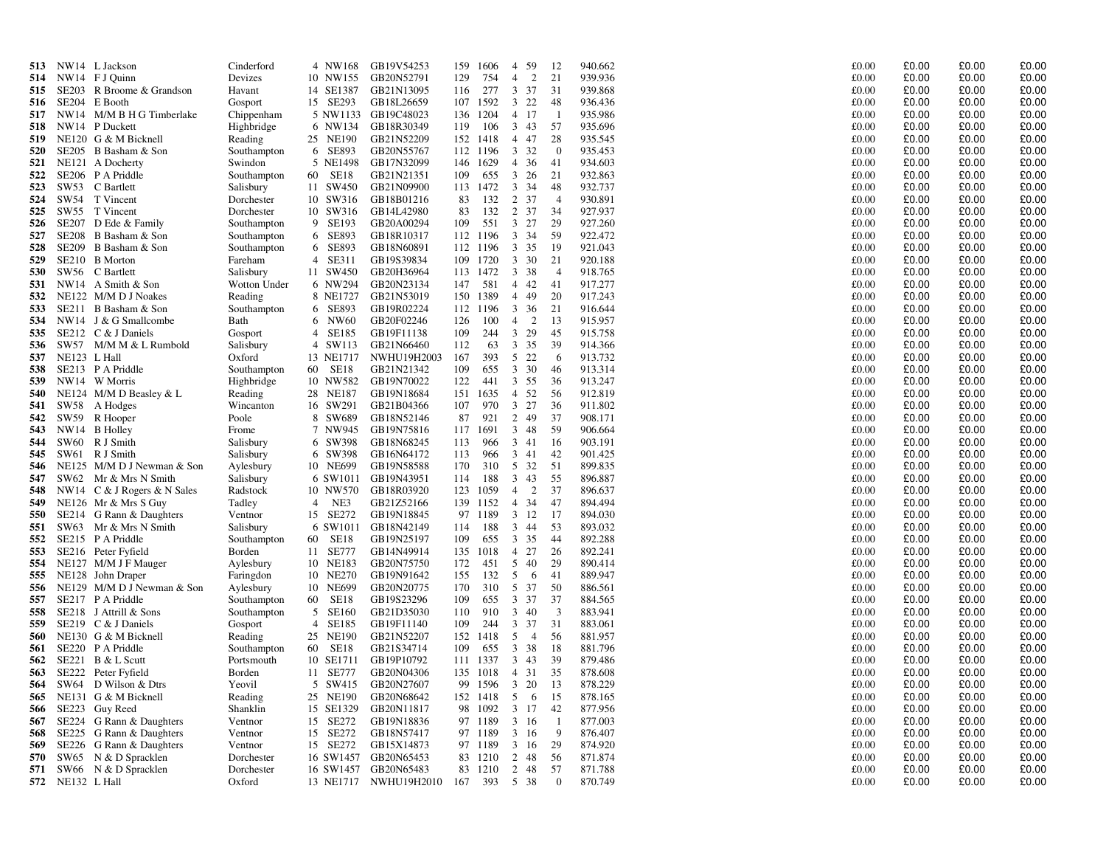| 513        | NW14 L Jackson                      | Cinderford                | 4 NW168                 | GB19V54253            | 159 | 1606     | $\overline{4}$ | 59                   | 12             | 940.662 | £0.00 | £0.00 | £0.00 | £0.00          |
|------------|-------------------------------------|---------------------------|-------------------------|-----------------------|-----|----------|----------------|----------------------|----------------|---------|-------|-------|-------|----------------|
| 514        | NW14 FJ Quinn                       | Devizes                   | 10 NW155                | GB20N52791            | 129 | 754      | $\overline{4}$ | 2                    | 21             | 939.936 | £0.00 | £0.00 | £0.00 | £0.00          |
| 515        | <b>SE203</b><br>R Broome & Grandson | Havant                    | 14 SE1387               | GB21N13095            | 116 | 277      | 3              | 37                   | 31             | 939.868 | £0.00 | £0.00 | £0.00 | £0.00          |
| 516        | SE204 E Booth                       | Gosport                   | 15 SE293                | GB18L26659            |     | 107 1592 | 3              | 22                   | 48             | 936.436 | £0.00 | £0.00 | £0.00 | £0.00          |
| 517        | NW14 M/M B H G Timberlake           | Chippenham                |                         | 5 NW1133 GB19C48023   |     | 136 1204 | 4 17           |                      | - 1            | 935.986 | £0.00 | £0.00 | £0.00 | £0.00          |
| 518        | NW14<br>P Duckett                   | Highbridge                | 6 NW134                 | GB18R30349            | 119 | 106      | $3 \quad 43$   |                      | 57             | 935.696 | £0.00 | £0.00 | £0.00 | £0.00          |
| 519        | NE120 G & M Bicknell                | Reading                   | 25 NE190                | GB21N52209            |     | 152 1418 | 4 47           |                      | 28             | 935.545 | £0.00 | £0.00 | £0.00 | £0.00          |
| 520        | SE205 B Basham & Son                | Southampton               | 6 SE893                 | GB20N55767            |     | 112 1196 | $\overline{3}$ | 32                   | $\mathbf{0}$   | 935.453 | £0.00 | £0.00 | £0.00 | £0.00          |
| 521        | NE <sub>121</sub> A Docherty        | Swindon                   | 5 NE1498                | GB17N32099            | 146 | 1629     | 4 36           |                      | 41             | 934.603 | £0.00 | £0.00 | £0.00 | £0.00          |
| 522        | SE206 P A Priddle                   | Southampton               | <b>SE18</b><br>60       | GB21N21351            | 109 | 655      | $\mathbf{3}$   | 26                   | 21             | 932.863 | £0.00 | £0.00 | £0.00 | £0.00          |
| 523        | SW53<br>C Bartlett                  | Salisbury                 | 11 SW450                | GB21N09900            |     | 113 1472 | 3 3 4          |                      | 48             | 932.737 | £0.00 | £0.00 | £0.00 | £0.00          |
| 524        | SW54 T Vincent                      | Dorchester                | 10 SW316                | GB18B01216            | 83  | 132      | $\overline{2}$ | 37                   | $\overline{4}$ | 930.891 | £0.00 | £0.00 | £0.00 | £0.00          |
| 525        | SW55 T Vincent                      | Dorchester                | 10 SW316                | GB14L42980            | 83  | 132      | 2 37           |                      | 34             | 927.937 | £0.00 | £0.00 | £0.00 | £0.00          |
| 526        | SE207 D Ede & Family                | Southampton               | 9 SE193                 | GB20A00294            | 109 | 551      | $\mathbf{3}$   | 27                   | 29             | 927.260 | £0.00 | £0.00 | £0.00 | £0.00          |
| 527        | SE208 B Basham & Son                | Southampton               | 6 SE893                 | GB18R10317            |     | 112 1196 | 3 3 4          |                      | 59             | 922.472 | £0.00 | £0.00 | £0.00 | £0.00          |
| 528        | SE209 B Basham & Son                | Southampton               | 6 SE893                 | GB18N60891            | 112 | 1196     | $\mathbf{3}$   | 35                   | -19            | 921.043 | £0.00 | £0.00 | £0.00 | £0.00          |
| 529        | SE210 B Morton                      | Fareham                   | $\overline{4}$<br>SE311 | GB19S39834            | 109 | 1720     | $3 \quad 30$   |                      | 21             | 920.188 | £0.00 | £0.00 | £0.00 | £0.00          |
| 530        | SW56 C Bartlett                     |                           | 11 SW450                | GB20H36964            |     | 113 1472 | 3 38           |                      | $\overline{4}$ | 918.765 | £0.00 | £0.00 | £0.00 | £0.00          |
|            | NW14 A Smith & Son                  | Salisbury<br>Wotton Under | 6 NW294                 | GB20N23134            | 147 | 581      | 4 4 2          |                      | 41             | 917.277 | £0.00 | £0.00 | £0.00 | £0.00          |
| 531        | NE122 M/M D J Noakes                |                           | 8 NE1727                |                       |     | 150 1389 | 4 4 9          |                      | 20             | 917.243 | £0.00 | £0.00 | £0.00 | £0.00          |
| 532<br>533 |                                     | Reading                   |                         | GB21N53019            |     |          |                |                      |                |         |       |       |       |                |
|            | SE211 B Basham & Son                | Southampton               | 6 SE893                 | GB19R02224            |     | 112 1196 | 3 36           |                      | 21             | 916.644 | £0.00 | £0.00 | £0.00 | £0.00          |
| 534        | NW14 J & G Smallcombe               | Bath                      | 6 NW60                  | GB20F02246            | 126 | 100      | $\overline{4}$ | $\overline{2}$<br>29 | 13             | 915.957 | £0.00 | £0.00 | £0.00 | £0.00<br>£0.00 |
| 535        | SE212 C & J Daniels                 | Gosport                   | $\overline{4}$<br>SE185 | GB19F11138            | 109 | 244      | $\mathbf{3}$   |                      | 45             | 915.758 | £0.00 | £0.00 | £0.00 |                |
| 536        | SW57 M/M M & L Rumbold              | Salisbury                 | 4 SW113                 | GB21N66460            | 112 | 63       | $\mathbf{3}$   | 35                   | 39             | 914.366 | £0.00 | £0.00 | £0.00 | £0.00          |
| 537        | NE123 L Hall                        | Oxford                    | 13 NE1717               | NWHU19H2003           | 167 | 393      | 5 22           |                      | 6              | 913.732 | £0.00 | £0.00 | £0.00 | £0.00          |
| 538        | SE213 P A Priddle                   | Southampton               | 60 SE18                 | GB21N21342            | 109 | 655      | 3 30           |                      | 46             | 913.314 | £0.00 | £0.00 | £0.00 | £0.00          |
| 539        | NW14<br>W Morris                    | Highbridge                | 10 NW582                | GB19N70022            | 122 | 441      | 3 55           |                      | 36             | 913.247 | £0.00 | £0.00 | £0.00 | £0.00          |
| 540        | NE124 M/M D Beasley & L             | Reading                   | 28 NE187                | GB19N18684            |     | 151 1635 | 4 52           |                      | 56             | 912.819 | £0.00 | £0.00 | £0.00 | £0.00          |
| 541        | SW58<br>A Hodges                    | Wincanton                 | 16 SW291                | GB21B04366            | 107 | 970      | $\mathbf{3}$   | 27                   | 36             | 911.802 | £0.00 | £0.00 | £0.00 | £0.00          |
| 542        | SW59 R Hooper                       | Poole                     | 8 SW689                 | GB18N52146            | 87  | 921      | 2 49           |                      | 37             | 908.171 | £0.00 | £0.00 | £0.00 | £0.00          |
| 543        | NW14<br><b>B</b> Holley             | Frome                     | 7 NW945                 | GB19N75816            |     | 117 1691 | $\mathbf{3}$   | 48                   | 59             | 906.664 | £0.00 | £0.00 | £0.00 | £0.00          |
| 544        | SW60 R J Smith                      | Salisbury                 | 6 SW398                 | GB18N68245            | 113 | 966      | 3 41           |                      | -16            | 903.191 | £0.00 | £0.00 | £0.00 | £0.00          |
| 545        | SW61 R J Smith                      | Salisbury                 | 6 SW398                 | GB16N64172            | 113 | 966      | $\mathbf{3}$   | 41                   | 42             | 901.425 | £0.00 | £0.00 | £0.00 | £0.00          |
| 546        | NE125 M/M D J Newman & Son          | Aylesbury                 | 10 NE699                | GB19N58588            | 170 | 310      | 5 32           |                      | 51             | 899.835 | £0.00 | £0.00 | £0.00 | £0.00          |
| 547        | SW62<br>Mr & Mrs N Smith            | Salisbury                 | 6 SW1011                | GB19N43951            | 114 | 188      | $\overline{3}$ | 43                   | 55             | 896.887 | £0.00 | £0.00 | £0.00 | £0.00          |
| 548        | NW14 C & J Rogers & N Sales         | Radstock                  | 10 NW570                | GB18R03920            | 123 | 1059     | $\overline{4}$ | 2                    | 37             | 896.637 | £0.00 | £0.00 | £0.00 | £0.00          |
| 549        | NE126 Mr & Mrs S Guy                | Tadley                    | NE3<br>$\overline{4}$   | GB21Z52166            | 139 | 1152     | $\overline{4}$ | 34                   | 47             | 894.494 | £0.00 | £0.00 | £0.00 | £0.00          |
| 550        | SE214 G Rann & Daughters            | Ventnor                   | 15 SE272                | GB19N18845            | 97  | 1189     | 3 12           |                      | -17            | 894.030 | £0.00 | £0.00 | £0.00 | £0.00          |
| 551        | SW63 Mr & Mrs N Smith               | Salisbury                 | 6 SW1011                | GB18N42149            | 114 | 188      | 3 44           |                      | 53             | 893.032 | £0.00 | £0.00 | £0.00 | £0.00          |
| 552        | SE215 P A Priddle                   | Southampton               | <b>SE18</b><br>60       | GB19N25197            | 109 | 655      | 3 35           |                      | 44             | 892.288 | £0.00 | £0.00 | £0.00 | £0.00          |
| 553        | SE216 Peter Fyfield                 | Borden                    | 11 SE777                | GB14N49914            |     | 135 1018 | $\overline{4}$ | 27                   | 26             | 892.241 | £0.00 | £0.00 | £0.00 | £0.00          |
| 554        | NE127 M/M J F Mauger                | Aylesbury                 | 10 NE183                | GB20N75750            | 172 | 451      | 5              | 40                   | 29             | 890.414 | £0.00 | £0.00 | £0.00 | £0.00          |
| 555        | NE128 John Draper                   | Faringdon                 | 10 NE270                | GB19N91642            | 155 | 132      | 5              | 6                    | 41             | 889.947 | £0.00 | £0.00 | £0.00 | £0.00          |
| 556        | NE129 M/M D J Newman & Son          | Aylesbury                 | 10 NE699                | GB20N20775            | 170 | 310      | 5 37           |                      | 50             | 886.561 | £0.00 | £0.00 | £0.00 | £0.00          |
| 557        | SE217 P A Priddle                   | Southampton               | SE18<br>60              | GB19S23296            | 109 | 655      | 3 37           |                      | 37             | 884.565 | £0.00 | £0.00 | £0.00 | £0.00          |
| 558        | SE218 J Attrill & Sons              | Southampton               | 5 SE160                 | GB21D35030            | 110 | 910      | $\mathbf{3}$   | 40                   | 3              | 883.941 | £0.00 | £0.00 | £0.00 | £0.00          |
| 559        | SE219 C & J Daniels                 | Gosport                   | SE185<br>$\overline{4}$ | GB19F11140            | 109 | 244      | $\mathbf{3}$   | 37                   | 31             | 883.061 | £0.00 | £0.00 | £0.00 | £0.00          |
| 560        | NE130 G & M Bicknell                | Reading                   | 25 NE190                | GB21N52207            | 152 | 1418     | 5              | $\overline{4}$       | -56            | 881.957 | £0.00 | £0.00 | £0.00 | £0.00          |
| 561        | SE220 P A Priddle                   | Southampton               | <b>SE18</b><br>60       | GB21S34714            | 109 | 655      | $\mathbf{3}$   | 38                   | -18            | 881.796 | £0.00 | £0.00 | £0.00 | £0.00          |
| 562        | SE221 B & L Scutt                   | Portsmouth                | 10 SE1711               | GB19P10792            |     | 111 1337 | $\mathbf{3}$   | 43                   | 39             | 879.486 | £0.00 | £0.00 | £0.00 | £0.00          |
| 563        | SE222 Peter Fyfield                 | Borden                    | 11 SE777                | GB20N04306            | 135 | 1018     | $\overline{4}$ | 31                   | 35             | 878.608 | £0.00 | £0.00 | £0.00 | £0.00          |
| 564        | SW64<br>D Wilson & Dtrs             | Yeovil                    | 5 SW415                 | GB20N27607            | 99  | 1596     | 3 20           |                      | 13             | 878.229 | £0.00 | £0.00 | £0.00 | £0.00          |
| 565        | NE131 G & M Bicknell                | Reading                   | 25 NE190                | GB20N68642            |     | 152 1418 | 5              | 6                    | 15             | 878.165 | £0.00 | £0.00 | £0.00 | £0.00          |
| 566        | SE223 Guy Reed                      | Shanklin                  | 15 SE1329               | GB20N11817            |     | 98 1092  | 3 17           |                      | 42             | 877.956 | £0.00 | £0.00 | £0.00 | £0.00          |
| 567        | SE224 G Rann & Daughters            | Ventnor                   | 15 SE272                | GB19N18836            |     | 97 1189  | 3 16           |                      | -1             | 877.003 | £0.00 | £0.00 | £0.00 | £0.00          |
| 568        | SE225 G Rann & Daughters            | Ventnor                   | 15 SE272                | GB18N57417            |     | 97 1189  | 3 16           |                      | 9              | 876.407 | £0.00 | £0.00 | £0.00 | £0.00          |
| 569        | SE226 G Rann & Daughters            | Ventnor                   | 15 SE272                | GB15X14873            |     | 97 1189  | $\mathbf{3}$   | -16                  | 29             | 874.920 | £0.00 | £0.00 | £0.00 | £0.00          |
| 570        | SW65 N & D Spracklen                | Dorchester                |                         | 16 SW1457 GB20N65453  |     | 83 1210  | 2              | 48                   | 56             | 871.874 | £0.00 | £0.00 | £0.00 | £0.00          |
| 571        | SW66 N & D Spracklen                | Dorchester                |                         | 16 SW1457 GB20N65483  |     | 83 1210  | $\overline{2}$ | 48                   | 57             | 871.788 | £0.00 | £0.00 | £0.00 | £0.00          |
|            | 572 NE132 L Hall                    | Oxford                    |                         | 13 NE1717 NWHU19H2010 | 167 | 393      | 5 38           |                      | $\overline{0}$ | 870.749 | £0.00 | £0.00 | £0.00 | £0.00          |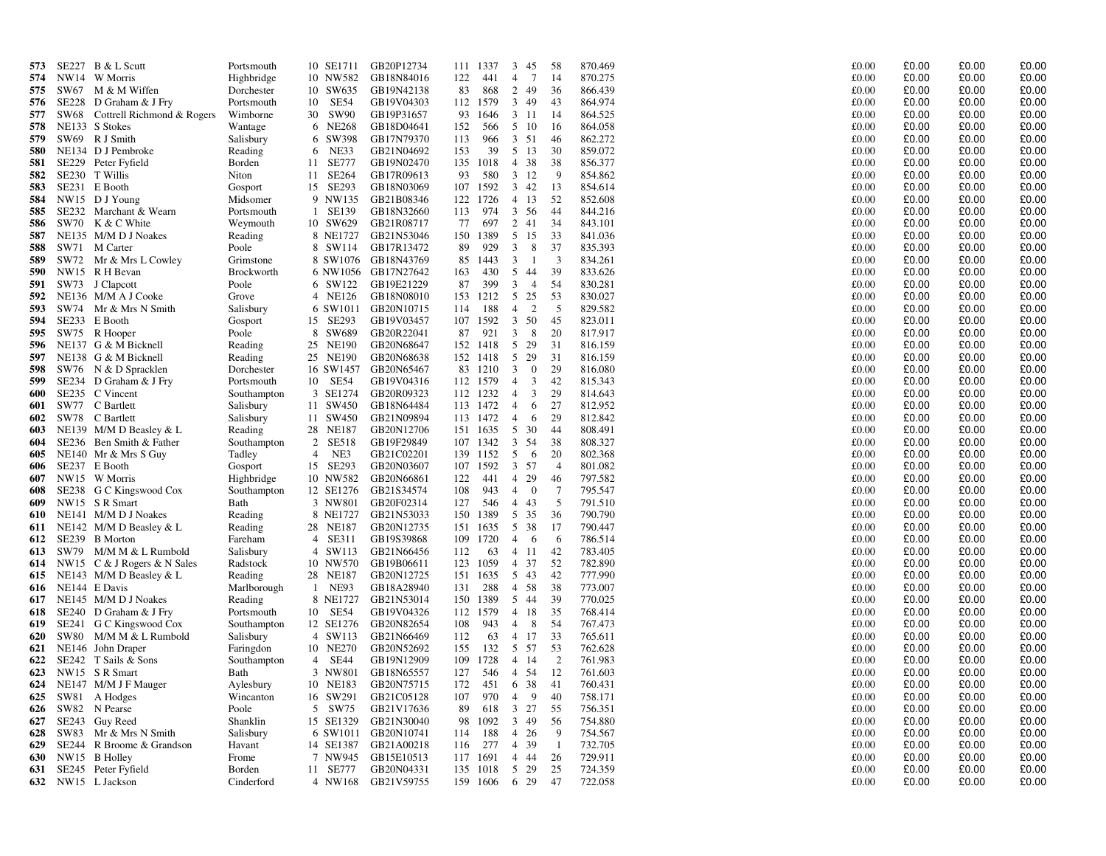| 573        |               | $SE227$ B & L Scutt         | Portsmouth                |                | 10 SE1711            | GB20P12734               | 111        | 1337         |                | 3 45            | 58                   | 870.469            | £0.00          | £0.00          | £0.00          | £0.00          |
|------------|---------------|-----------------------------|---------------------------|----------------|----------------------|--------------------------|------------|--------------|----------------|-----------------|----------------------|--------------------|----------------|----------------|----------------|----------------|
| 574        | NW14          | W Morris                    | Highbridge                |                | 10 NW582             | GB18N84016               | 122        | 441          | $\overline{4}$ | $7\phantom{.0}$ | 14                   | 870.275            | £0.00          | £0.00          | £0.00          | £0.00          |
| 575        | SW67          | M & M Wiffen                | Dorchester                |                | 10 SW635             | GB19N42138               | 83         | 868          |                | 2 49            | 36                   | 866.439            | £0.00          | £0.00          | £0.00          | £0.00          |
| 576        |               | SE228 D Graham & J Fry      | Portsmouth                |                | 10 SE54              | GB19V04303               |            | 112 1579     | 3              | 49              | 43                   | 864.974            | £0.00          | £0.00          | £0.00          | £0.00          |
| 577        | SW68          | Cottrell Richmond & Rogers  | Wimborne                  |                | 30 SW90              | GB19P31657               | 93         | 1646         |                | 3 11            | -14                  | 864.525            | £0.00          | £0.00          | £0.00          | £0.00          |
| 578        |               | NE133 S Stokes              | Wantage                   |                | 6 NE268              | GB18D04641               | 152        | 566          |                | 5 10            | 16                   | 864.058            | £0.00          | £0.00          | £0.00          | £0.00          |
| 579        |               | SW69 R J Smith              | Salisbury                 |                | 6 SW398              | GB17N79370               | 113        | 966          |                | $3 \quad 51$    | 46                   | 862.272            | £0.00          | £0.00          | £0.00          | £0.00          |
| 580        |               | NE134 D J Pembroke          | Reading                   |                | 6 NE33               | GB21N04692               | 153        | 39           |                | 5 13            | 30                   | 859.072            | £0.00          | £0.00          | £0.00          | £0.00          |
| 581        |               | SE229 Peter Fyfield         | Borden                    |                | 11 SE777             | GB19N02470               | 135        | 1018         |                | 4 38            | 38                   | 856.377            | £0.00          | £0.00          | £0.00          | £0.00          |
| 582        | SE230         | T Willis                    | Niton                     |                | 11 SE264             | GB17R09613               | 93         | 580          |                | $3 \t12$        | -9                   | 854.862            | £0.00          | £0.00          | £0.00          | £0.00          |
| 583        |               | SE231 E Booth               | Gosport                   |                | 15 SE293             | GB18N03069               | 107        | 1592         |                | $3 \quad 42$    | 13                   | 854.614            | £0.00          | £0.00          | £0.00          | £0.00          |
| 584        |               | NW15 DJ Young               | Midsomer                  |                | 9 NW135              | GB21B08346               |            | 122 1726     | $\overline{4}$ | 13              | 52                   | 852.608            | £0.00          | £0.00          | £0.00          | £0.00          |
| 585        |               | SE232 Marchant & Wearn      | Portsmouth                |                | 1 SE139              | GB18N32660               | 113        | 974          |                | 3 56            | 44                   | 844.216            | £0.00          | £0.00          | £0.00          | £0.00          |
| 586        | SW70          | K & C White                 | Weymouth                  |                | 10 SW629             | GB21R08717               | 77         | 697          |                | 2 41            | 34                   | 843.101            | £0.00          | £0.00          | £0.00          | £0.00          |
| 587        |               | NE135 M/M D J Noakes        | Reading                   |                | 8 NE1727             | GB21N53046               | 150        | 1389         |                | 5 15            | 33                   | 841.036            | £0.00          | £0.00          | £0.00          | £0.00          |
| 588        | SW71          | M Carter                    | Poole                     |                | 8 SW114              | GB17R13472               | 89         | 929          | 3              | 8               | 37                   | 835.393            | £0.00          | £0.00          | £0.00          | £0.00          |
| 589        | SW72          | Mr & Mrs L Cowley           | Grimstone                 |                |                      | 8 SW1076 GB18N43769      | 85         | 1443         | $\mathbf{3}$   | -1              | 3                    | 834.261            | £0.00          | £0.00          | £0.00          | £0.00          |
| 590        |               | NW15 R H Bevan              | Brockworth                |                | 6 NW1056             | GB17N27642               | 163        | 430          |                | 5 44            | 39                   | 833.626            | £0.00          | £0.00          | £0.00          | £0.00          |
| 591        | SW73          | J Clapcott                  | Poole                     |                | 6 SW122              | GB19E21229               | 87         | 399          | 3              | $\overline{4}$  | 54                   | 830.281            | £0.00          | £0.00          | £0.00          | £0.00          |
| 592        |               | NE136 M/M A J Cooke         | Grove                     |                | 4 NE126              | GB18N08010               | 153        | 1212         | 5              | 25              | 53                   | 830.027            | £0.00          | £0.00          | £0.00          | £0.00          |
| 593        | SW74          | Mr & Mrs N Smith            | Salisbury                 |                | 6 SW1011             | GB20N10715               | 114        | 188          | $\overline{4}$ | 2               | 5                    | 829.582            | £0.00          | £0.00          | £0.00          | £0.00          |
| 594        | SE233         | E Booth                     | Gosport                   |                | 15 SE293             | GB19V03457               | 107        | 1592         | 3              | 50              | 45                   | 823.011            | £0.00          | £0.00          | £0.00          | £0.00          |
| 595        | SW75          | R Hooper                    | Poole                     |                | 8 SW689              | GB20R22041               | 87         | 921          | 3              | 8               | 20                   | 817.917            | £0.00          | £0.00          | £0.00          | £0.00          |
| 596        |               | NE137 G & M Bicknell        | Reading                   |                | 25 NE190             | GB20N68647               | 152        | 1418         |                | 5 29            | 31                   | 816.159            | £0.00          | £0.00          | £0.00          | £0.00          |
| 597        |               | NE138 G & M Bicknell        | Reading                   |                | 25 NE190             | GB20N68638               |            | 152 1418     |                | 5 29            | 31                   | 816.159            | £0.00          | £0.00          | £0.00          | £0.00          |
| 598        | SW76          | N & D Spracklen             | Dorchester                |                | 16 SW1457            | GB20N65467               | 83         | 1210         | 3              | $\mathbf{0}$    | 29                   | 816.080            | £0.00          | £0.00          | £0.00          | £0.00          |
| 599        | SE234         | D Graham & J Fry            | Portsmouth                |                | 10 SE54              | GB19V04316               |            | 112 1579     | $\overline{4}$ | 3               | 42                   | 815.343            | £0.00          | £0.00          | £0.00          | £0.00          |
| 600        |               | SE235 C Vincent             | Southampton               |                | 3 SE1274             | GB20R09323               |            | 112 1232     | $\overline{4}$ | $\mathbf{3}$    | 29                   | 814.643            | £0.00          | £0.00          | £0.00          | £0.00          |
| 601        | SW77          | C Bartlett                  | Salisbury                 |                | 11 SW450             | GB18N64484               |            | 113 1472     | $\overline{4}$ | 6               | 27                   | 812.952            | £0.00          | £0.00          | £0.00          | £0.00          |
| 602        | SW78          | C Bartlett                  | Salisbury                 |                | 11 SW450             | GB21N09894               |            | 113 1472     | $\overline{4}$ | 6               | 29                   | 812.842            | £0.00          | £0.00          | £0.00          | £0.00          |
| 603        |               | NE139 M/M D Beasley & L     | Reading                   |                | 28 NE187             | GB20N12706               | 151        | 1635         |                | 5 30            | 44                   | 808.491            | £0.00          | £0.00          | £0.00          | £0.00          |
| 604        |               | SE236 Ben Smith & Father    | Southampton               | $\overline{4}$ | 2 SE518              | GB19F29849               | 107        | 1342         | 3              | 54              | 38                   | 808.327            | £0.00          | £0.00          | £0.00          | £0.00          |
| 605<br>606 |               | NE140 Mr & Mrs S Guy        | Tadley                    |                | NE3                  | GB21C02201               | 139<br>107 | 1152<br>1592 | 5              | - 6             | 20<br>$\overline{4}$ | 802.368            | £0.00<br>£0.00 | £0.00<br>£0.00 | £0.00<br>£0.00 | £0.00          |
| 607        | NW15          | SE237 E Booth<br>W Morris   | Gosport                   |                | 15 SE293<br>10 NW582 | GB20N03607               | 122        | 441          |                | 3 57<br>4 29    | 46                   | 801.082            |                |                | £0.00          | £0.00<br>£0.00 |
| 608        | SE238         | G C Kingswood Cox           | Highbridge<br>Southampton |                | 12 SE1276            | GB20N66861<br>GB21S34574 | 108        | 943          | $\overline{4}$ | $\overline{0}$  | 7                    | 797.582<br>795.547 | £0.00<br>£0.00 | £0.00<br>£0.00 | £0.00          | £0.00          |
| 609        |               | NW15 SR Smart               | Bath                      |                | 3 NW801              | GB20F02314               | 127        | 546          | $\overline{4}$ | 43              | -5                   | 791.510            | £0.00          | £0.00          | £0.00          | £0.00          |
| 610        |               | NE141 M/M D J Noakes        | Reading                   |                | 8 NE1727             | GB21N53033               | 150        | 1389         |                | 5 35            | 36                   | 790.790            | £0.00          | £0.00          | £0.00          | £0.00          |
| 611        | NE142         | $M/M D$ Beasley & L         | Reading                   |                | 28 NE187             | GB20N12735               | 151        | 1635         |                | 5 38            | 17                   | 790.447            | £0.00          | £0.00          | £0.00          | £0.00          |
| 612        |               | SE239 B Morton              | Fareham                   |                | 4 SE311              | GB19S39868               | 109        | 1720         | $\overline{4}$ | -6              | -6                   | 786.514            | £0.00          | £0.00          | £0.00          | £0.00          |
| 613        |               | SW79 M/M M & L Rumbold      | Salisbury                 |                | 4 SW113              | GB21N66456               | 112        | 63           |                | $4 \quad 11$    | 42                   | 783.405            | £0.00          | £0.00          | £0.00          | £0.00          |
| 614        |               | NW15 C & J Rogers & N Sales | Radstock                  |                | 10 NW570             | GB19B06611               | 123        | 1059         |                | 4 37            | 52                   | 782.890            | £0.00          | £0.00          | £0.00          | £0.00          |
| 615        |               | NE143 M/M D Beasley $& L$   | Reading                   |                | 28 NE187             | GB20N12725               | 151        | 1635         |                | 5 43            | 42                   | 777.990            | £0.00          | £0.00          | £0.00          | £0.00          |
| 616        | NE144 E Davis |                             | Marlborough               |                | 1 NE93               | GB18A28940               | 131        | 288          |                | 4 58            | 38                   | 773.007            | £0.00          | £0.00          | £0.00          | £0.00          |
| 617        |               | NE145 M/M D J Noakes        | Reading                   |                | 8 NE1727             | GB21N53014               | 150        | 1389         |                | 5 44            | 39                   | 770.025            | £0.00          | £0.00          | £0.00          | £0.00          |
| 618        |               | SE240 D Graham & J Fry      | Portsmouth                |                | 10 SE54              | GB19V04326               | 112        | 1579         | $\overline{4}$ | -18             | 35                   | 768.414            | £0.00          | £0.00          | £0.00          | £0.00          |
| 619        | SE241         | G C Kingswood Cox           | Southampton               |                | 12 SE1276            | GB20N82654               | 108        | 943          | $\overline{4}$ | 8               | 54                   | 767.473            | £0.00          | £0.00          | £0.00          | £0.00          |
| 620        | <b>SW80</b>   | M/M M & L Rumbold           | Salisbury                 |                | 4 SW113              | GB21N66469               | 112        | 63           |                | 4 17            | 33                   | 765.611            | £0.00          | £0.00          | £0.00          | £0.00          |
| 621        |               | NE146 John Draper           | Faringdon                 |                | 10 NE270             | GB20N52692               | 155        | 132          | 5 <sup>5</sup> | 57              | 53                   | 762.628            | £0.00          | £0.00          | £0.00          | £0.00          |
| 622        |               | SE242 T Sails & Sons        | Southampton               |                | 4 SE44               | GB19N12909               | 109        | 1728         | $\overline{4}$ | 14              | 2                    | 761.983            | £0.00          | £0.00          | £0.00          | £0.00          |
| 623        |               | NW15 SR Smart               | Bath                      |                | 3 NW801              | GB18N65557               | 127        | 546          | $\overline{4}$ | 54              | 12                   | 761.603            | £0.00          | £0.00          | £0.00          | £0.00          |
| 624        | NE147         | M/M J F Mauger              | Aylesbury                 |                | 10 NE183             | GB20N75715               | 172        | 451          |                | 6 38            | 41                   | 760.431            | £0.00          | £0.00          | £0.00          | £0.00          |
| 625        | SW81          | A Hodges                    | Wincanton                 |                | 16 SW291             | GB21C05128               | 107        | 970          | $\overline{4}$ | 9               | 40                   | 758.171            | £0.00          | £0.00          | £0.00          | £0.00          |
| 626        | SW82          | N Pearse                    | Poole                     |                | 5 SW75               | GB21V17636               | 89         | 618          |                | $3 \t27$        | 55                   | 756.351            | £0.00          | £0.00          | £0.00          | £0.00          |
| 627        | SE243         | Guy Reed                    | Shanklin                  |                | 15 SE1329            | GB21N30040               | 98         | 1092         |                | 349             | 56                   | 754.880            | £0.00          | £0.00          | £0.00          | £0.00          |
| 628        | SW83          | Mr & Mrs N Smith            | Salisbury                 |                | 6 SW1011             | GB20N10741               | 114        | 188          |                | $4\quad 26$     | 9                    | 754.567            | £0.00          | £0.00          | £0.00          | £0.00          |
| 629        | SE244         | R Broome & Grandson         | Havant                    |                | 14 SE1387            | GB21A00218               | 116        | 277          |                | 4 39            | - 1                  | 732.705            | £0.00          | £0.00          | £0.00          | £0.00          |
| 630        |               | NW15 B Holley               | Frome                     |                | 7 NW945              | GB15E10513               | 117        | 1691         | $\overline{4}$ | 44              | 26                   | 729.911            | £0.00          | £0.00          | £0.00          | £0.00          |
| 631        |               | SE245 Peter Fyfield         | Borden                    |                | 11 SE777             | GB20N04331               | 135        | 1018         | 5              | 29              | 25                   | 724.359            | £0.00          | £0.00          | £0.00          | £0.00          |
| 632        |               | NW15 L Jackson              | Cinderford                |                | 4 NW168              | GB21V59755               | 159        | 1606         |                | 6 29            | 47                   | 722.058            | £0.00          | £0.00          | £0.00          | £0.00          |